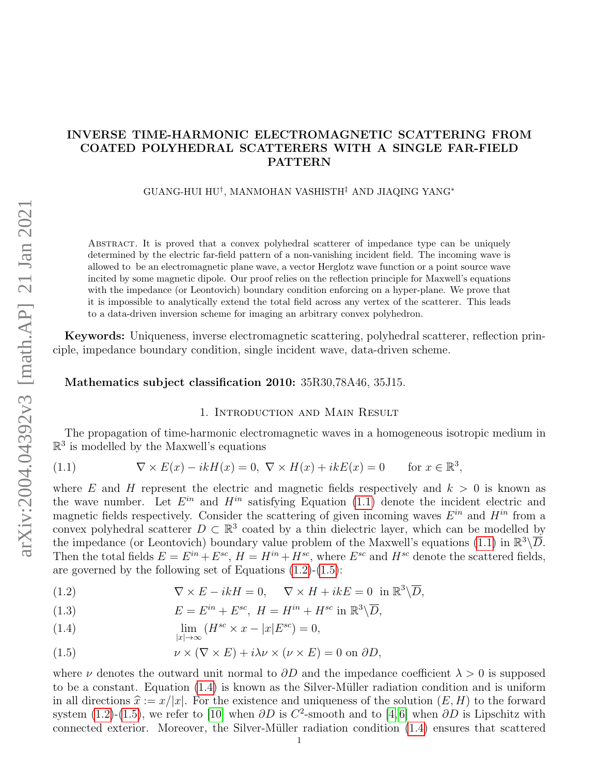# INVERSE TIME-HARMONIC ELECTROMAGNETIC SCATTERING FROM COATED POLYHEDRAL SCATTERERS WITH A SINGLE FAR-FIELD PATTERN

GUANG-HUI HU† , MANMOHAN VASHISTH‡ AND JIAQING YANG<sup>∗</sup>

Abstract. It is proved that a convex polyhedral scatterer of impedance type can be uniquely determined by the electric far-field pattern of a non-vanishing incident field. The incoming wave is allowed to be an electromagnetic plane wave, a vector Herglotz wave function or a point source wave incited by some magnetic dipole. Our proof relies on the reflection principle for Maxwell's equations with the impedance (or Leontovich) boundary condition enforcing on a hyper-plane. We prove that it is impossible to analytically extend the total field across any vertex of the scatterer. This leads to a data-driven inversion scheme for imaging an arbitrary convex polyhedron.

Keywords: Uniqueness, inverse electromagnetic scattering, polyhedral scatterer, reflection principle, impedance boundary condition, single incident wave, data-driven scheme.

## Mathematics subject classification 2010: 35R30,78A46, 35J15.

## 1. Introduction and Main Result

The propagation of time-harmonic electromagnetic waves in a homogeneous isotropic medium in  $\mathbb{R}^3$  is modelled by the Maxwell's equations

<span id="page-0-0"></span>(1.1) 
$$
\nabla \times E(x) - ikH(x) = 0, \ \nabla \times H(x) + ikE(x) = 0 \quad \text{for } x \in \mathbb{R}^3,
$$

where E and H represent the electric and magnetic fields respectively and  $k > 0$  is known as the wave number. Let  $E^{in}$  and  $H^{in}$  satisfying Equation [\(1.1\)](#page-0-0) denote the incident electric and magnetic fields respectively. Consider the scattering of given incoming waves  $E^{in}$  and  $H^{in}$  from a convex polyhedral scatterer  $D \subset \mathbb{R}^3$  coated by a thin dielectric layer, which can be modelled by the impedance (or Leontovich) boundary value problem of the Maxwell's equations [\(1.1\)](#page-0-0) in  $\mathbb{R}^3 \backslash \overline{D}$ . Then the total fields  $E = E^{in} + E^{sc}$ ,  $H = H^{in} + H^{sc}$ , where  $E^{sc}$  and  $H^{sc}$  denote the scattered fields, are governed by the following set of Equations [\(1.2\)](#page-0-1)-[\(1.5\)](#page-0-2):

<span id="page-0-1"></span>(1.2) 
$$
\nabla \times E - ikH = 0, \quad \nabla \times H + ikE = 0 \text{ in } \mathbb{R}^3 \backslash \overline{D},
$$

(1.3) 
$$
E = E^{in} + E^{sc}, H = H^{in} + H^{sc} \text{ in } \mathbb{R}^3 \backslash \overline{D},
$$

<span id="page-0-3"></span>(1.4) 
$$
\lim_{|x| \to \infty} (H^{sc} \times x - |x| E^{sc}) = 0,
$$

<span id="page-0-2"></span>(1.5) 
$$
\nu \times (\nabla \times E) + i\lambda \nu \times (\nu \times E) = 0 \text{ on } \partial D,
$$

where  $\nu$  denotes the outward unit normal to  $\partial D$  and the impedance coefficient  $\lambda > 0$  is supposed to be a constant. Equation  $(1.4)$  is known as the Silver-Müller radiation condition and is uniform in all directions  $\hat{x} := x/|x|$ . For the existence and uniqueness of the solution  $(E, H)$  to the forward system [\(1.2\)](#page-0-1)-[\(1.5\)](#page-0-2), we refer to [\[10\]](#page-21-0) when  $\partial D$  is  $C^2$ -smooth and to [\[4,](#page-21-1)6] when  $\partial D$  is Lipschitz with connected exterior. Moreover, the Silver-Müller radiation condition  $(1.4)$  ensures that scattered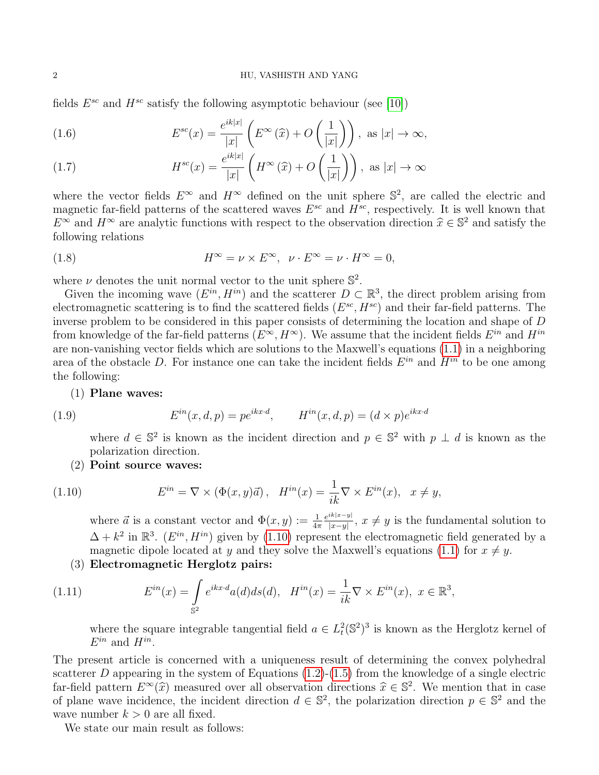### 2 HU, VASHISTH AND YANG

fields  $E^{sc}$  and  $H^{sc}$  satisfy the following asymptotic behaviour (see [\[10\]](#page-21-0))

<span id="page-1-2"></span>(1.6) 
$$
E^{sc}(x) = \frac{e^{ik|x|}}{|x|} \left( E^{\infty}(\widehat{x}) + O\left(\frac{1}{|x|}\right) \right), \text{ as } |x| \to \infty,
$$

(1.7) 
$$
H^{sc}(x) = \frac{e^{ik|x|}}{|x|} \left( H^{\infty}(\widehat{x}) + O\left(\frac{1}{|x|}\right) \right), \text{ as } |x| \to \infty
$$

where the vector fields  $E^{\infty}$  and  $H^{\infty}$  defined on the unit sphere  $\mathbb{S}^2$ , are called the electric and magnetic far-field patterns of the scattered waves  $E^{sc}$  and  $H^{sc}$ , respectively. It is well known that  $E^{\infty}$  and  $H^{\infty}$  are analytic functions with respect to the observation direction  $\hat{x} \in \mathbb{S}^2$  and satisfy the following relations following relations

(1.8) 
$$
H^{\infty} = \nu \times E^{\infty}, \quad \nu \cdot E^{\infty} = \nu \cdot H^{\infty} = 0,
$$

where  $\nu$  denotes the unit normal vector to the unit sphere  $\mathbb{S}^2$ .

Given the incoming wave  $(E^{in}, H^{in})$  and the scatterer  $D \subset \mathbb{R}^3$ , the direct problem arising from electromagnetic scattering is to find the scattered fields  $(E^{sc}, H^{sc})$  and their far-field patterns. The inverse problem to be considered in this paper consists of determining the location and shape of D from knowledge of the far-field patterns  $(E^{\infty}, H^{\infty})$ . We assume that the incident fields  $E^{in}$  and  $H^{in}$ are non-vanishing vector fields which are solutions to the Maxwell's equations [\(1.1\)](#page-0-0) in a neighboring area of the obstacle D. For instance one can take the incident fields  $E^{in}$  and  $H^{in}$  to be one among the following:

(1) Plane waves:

<span id="page-1-1"></span>(1.9) 
$$
E^{in}(x, d, p) = pe^{ikx \cdot d}, \qquad H^{in}(x, d, p) = (d \times p)e^{ikx \cdot d}
$$

where  $d \in \mathbb{S}^2$  is known as the incident direction and  $p \in \mathbb{S}^2$  with  $p \perp d$  is known as the polarization direction.

(2) Point source waves:

<span id="page-1-0"></span>(1.10) 
$$
E^{in} = \nabla \times (\Phi(x, y)\vec{a}), \quad H^{in}(x) = \frac{1}{ik}\nabla \times E^{in}(x), \quad x \neq y,
$$

where  $\vec{a}$  is a constant vector and  $\Phi(x, y) := \frac{1}{4\pi}$  $e^{ik|x-y|}$  $\frac{x(x-y)}{|x-y|}$ ,  $x \neq y$  is the fundamental solution to  $\Delta + k^2$  in  $\mathbb{R}^3$ . ( $E^{in}, H^{in}$ ) given by [\(1.10\)](#page-1-0) represent the electromagnetic field generated by a magnetic dipole located at y and they solve the Maxwell's equations [\(1.1\)](#page-0-0) for  $x \neq y$ .

(3) Electromagnetic Herglotz pairs:

<span id="page-1-3"></span>(1.11) 
$$
E^{in}(x) = \int_{\mathbb{S}^2} e^{ikx \cdot d} a(d) ds(d), \quad H^{in}(x) = \frac{1}{ik} \nabla \times E^{in}(x), \ x \in \mathbb{R}^3,
$$

where the square integrable tangential field  $a \in L^2(\mathbb{S}^2)^3$  is known as the Herglotz kernel of  $E^{in}$  and  $H^{in}$ .

The present article is concerned with a uniqueness result of determining the convex polyhedral scatterer D appearing in the system of Equations  $(1.2)-(1.5)$  $(1.2)-(1.5)$  $(1.2)-(1.5)$  from the knowledge of a single electric far-field pattern  $E^{\infty}(\hat{x})$  measured over all observation directions  $\hat{x} \in \mathbb{S}^2$ . We mention that in case<br>of plane wave incidence, the incident direction  $d \in \mathbb{S}^2$  the polarization direction  $x \in \mathbb{S}^2$  and of plane wave incidence, the incident direction  $d \in \mathbb{S}^2$ , the polarization direction  $p \in \mathbb{S}^2$  and the wave number  $k > 0$  are all fixed.

We state our main result as follows: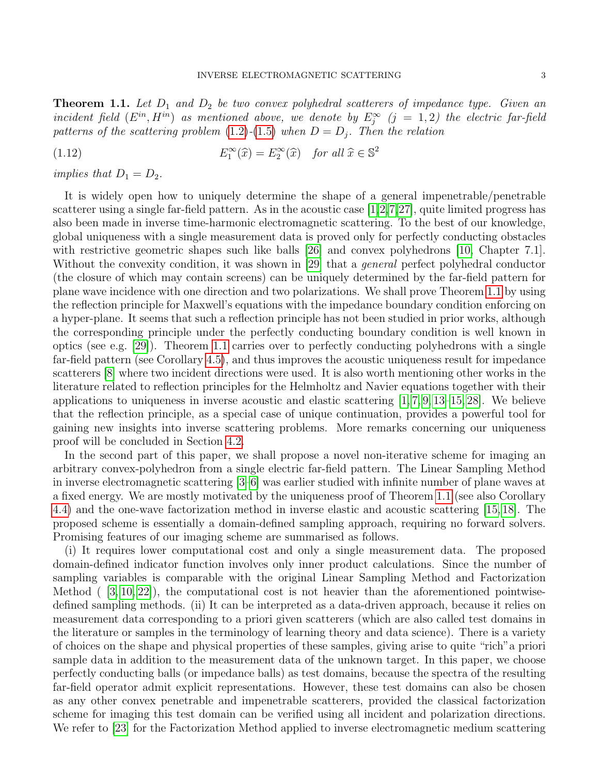<span id="page-2-0"></span>**Theorem 1.1.** Let  $D_1$  and  $D_2$  be two convex polyhedral scatterers of impedance type. Given an incident field  $(E^{in}, H^{in})$  as mentioned above, we denote by  $E_j^{\infty}$   $(j = 1, 2)$  the electric far-field patterns of the scattering problem [\(1.2\)](#page-0-1)-[\(1.5\)](#page-0-2) when  $D = D_j$ . Then the relation

<span id="page-2-1"></span>(1.12) 
$$
E_1^{\infty}(\widehat{x}) = E_2^{\infty}(\widehat{x}) \text{ for all } \widehat{x} \in \mathbb{S}^2
$$

implies that  $D_1 = D_2$ .

It is widely open how to uniquely determine the shape of a general impenetrable/penetrable scatterer using a single far-field pattern. As in the acoustic case [\[1,](#page-20-0)[2,](#page-20-1)[7,](#page-21-3)[27\]](#page-21-4), quite limited progress has also been made in inverse time-harmonic electromagnetic scattering. To the best of our knowledge, global uniqueness with a single measurement data is proved only for perfectly conducting obstacles with restrictive geometric shapes such like balls [\[26\]](#page-21-5) and convex polyhedrons [\[10,](#page-21-0) Chapter 7.1]. Without the convexity condition, it was shown in [\[29\]](#page-21-6) that a *general* perfect polyhedral conductor (the closure of which may contain screens) can be uniquely determined by the far-field pattern for plane wave incidence with one direction and two polarizations. We shall prove Theorem [1.1](#page-2-0) by using the reflection principle for Maxwell's equations with the impedance boundary condition enforcing on a hyper-plane. It seems that such a reflection principle has not been studied in prior works, although the corresponding principle under the perfectly conducting boundary condition is well known in optics (see e.g. [\[29\]](#page-21-6)). Theorem [1.1](#page-2-0) carries over to perfectly conducting polyhedrons with a single far-field pattern (see Corollary [4.5\)](#page-15-0), and thus improves the acoustic uniqueness result for impedance scatterers [\[8\]](#page-21-7) where two incident directions were used. It is also worth mentioning other works in the literature related to reflection principles for the Helmholtz and Navier equations together with their applications to uniqueness in inverse acoustic and elastic scattering  $[1, 7, 9, 13-15, 28]$  $[1, 7, 9, 13-15, 28]$  $[1, 7, 9, 13-15, 28]$  $[1, 7, 9, 13-15, 28]$  $[1, 7, 9, 13-15, 28]$  $[1, 7, 9, 13-15, 28]$ . We believe that the reflection principle, as a special case of unique continuation, provides a powerful tool for gaining new insights into inverse scattering problems. More remarks concerning our uniqueness proof will be concluded in Section [4.2.](#page-14-0)

In the second part of this paper, we shall propose a novel non-iterative scheme for imaging an arbitrary convex-polyhedron from a single electric far-field pattern. The Linear Sampling Method in inverse electromagnetic scattering [\[3](#page-20-2)[–6\]](#page-21-2) was earlier studied with infinite number of plane waves at a fixed energy. We are mostly motivated by the uniqueness proof of Theorem [1.1](#page-2-0) (see also Corollary [4.4\)](#page-15-1) and the one-wave factorization method in inverse elastic and acoustic scattering [\[15,](#page-21-10) [18\]](#page-21-12). The proposed scheme is essentially a domain-defined sampling approach, requiring no forward solvers. Promising features of our imaging scheme are summarised as follows.

(i) It requires lower computational cost and only a single measurement data. The proposed domain-defined indicator function involves only inner product calculations. Since the number of sampling variables is comparable with the original Linear Sampling Method and Factorization Method  $(3, 10, 22)$  $(3, 10, 22)$  $(3, 10, 22)$ , the computational cost is not heavier than the aforementioned pointwisedefined sampling methods. (ii) It can be interpreted as a data-driven approach, because it relies on measurement data corresponding to a priori given scatterers (which are also called test domains in the literature or samples in the terminology of learning theory and data science). There is a variety of choices on the shape and physical properties of these samples, giving arise to quite "rich"a priori sample data in addition to the measurement data of the unknown target. In this paper, we choose perfectly conducting balls (or impedance balls) as test domains, because the spectra of the resulting far-field operator admit explicit representations. However, these test domains can also be chosen as any other convex penetrable and impenetrable scatterers, provided the classical factorization scheme for imaging this test domain can be verified using all incident and polarization directions. We refer to [\[23\]](#page-21-14) for the Factorization Method applied to inverse electromagnetic medium scattering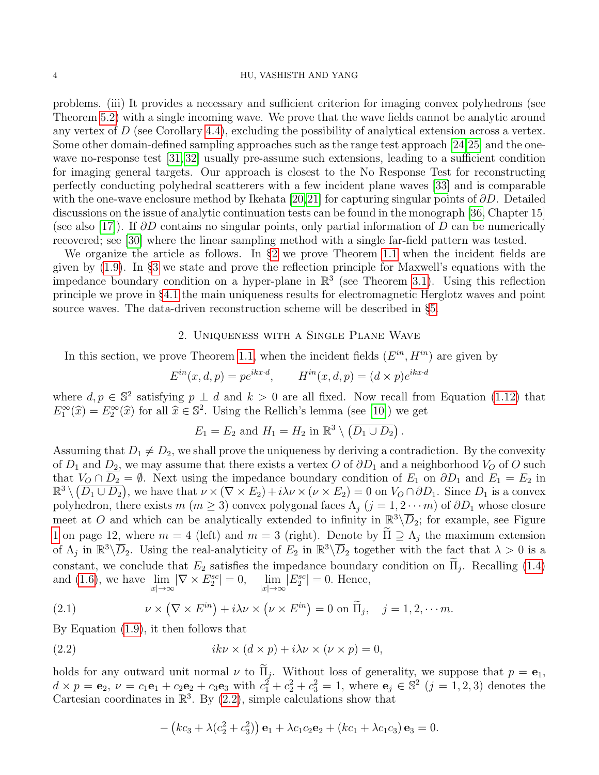#### 4 HU, VASHISTH AND YANG

problems. (iii) It provides a necessary and sufficient criterion for imaging convex polyhedrons (see Theorem [5.2\)](#page-19-0) with a single incoming wave. We prove that the wave fields cannot be analytic around any vertex of  $D$  (see Corollary [4.4\)](#page-15-1), excluding the possibility of analytical extension across a vertex. Some other domain-defined sampling approaches such as the range test approach [\[24,](#page-21-15)[25\]](#page-21-16) and the one-wave no-response test [\[31,](#page-22-0) [32\]](#page-22-1) usually pre-assume such extensions, leading to a sufficient condition for imaging general targets. Our approach is closest to the No Response Test for reconstructing perfectly conducting polyhedral scatterers with a few incident plane waves [\[33\]](#page-22-2) and is comparable with the one-wave enclosure method by Ikehata [\[20,](#page-21-17)[21\]](#page-21-18) for capturing singular points of  $\partial D$ . Detailed discussions on the issue of analytic continuation tests can be found in the monograph [\[36,](#page-22-3) Chapter 15] (see also [\[17\]](#page-21-19)). If  $\partial D$  contains no singular points, only partial information of D can be numerically recovered; see [\[30\]](#page-21-20) where the linear sampling method with a single far-field pattern was tested.

We organize the article as follows. In §[2](#page-3-0) we prove Theorem [1.1](#page-2-0) when the incident fields are given by [\(1.9\)](#page-1-1). In §[3](#page-4-0) we state and prove the reflection principle for Maxwell's equations with the impedance boundary condition on a hyper-plane in  $\mathbb{R}^3$  (see Theorem [3.1\)](#page-5-0). Using this reflection principle we prove in §[4.1](#page-12-0) the main uniqueness results for electromagnetic Herglotz waves and point source waves. The data-driven reconstruction scheme will be described in §[5.](#page-16-0)

## 2. Uniqueness with a Single Plane Wave

<span id="page-3-0"></span>In this section, we prove Theorem [1.1,](#page-2-0) when the incident fields  $(E^{in}, H^{in})$  are given by

$$
E^{in}(x,d,p) = pe^{ikx \cdot d}, \qquad H^{in}(x,d,p) = (d \times p)e^{ikx \cdot d}
$$

where  $d, p \in \mathbb{S}^2$  satisfying  $p \perp d$  and  $k > 0$  are all fixed. Now recall from Equation [\(1.12\)](#page-2-1) that  $E_1^{\infty}(\hat{x}) = E_2^{\infty}(\hat{x})$  for all  $\hat{x} \in \mathbb{S}^2$ . Using the Rellich's lemma (see [\[10\]](#page-21-0)) we get

$$
E_1 = E_2 \text{ and } H_1 = H_2 \text{ in } \mathbb{R}^3 \setminus (\overline{D_1 \cup D_2}) .
$$

Assuming that  $D_1 \neq D_2$ , we shall prove the uniqueness by deriving a contradiction. By the convexity of  $D_1$  and  $D_2$ , we may assume that there exists a vertex O of  $\partial D_1$  and a neighborhood  $V_O$  of O such that  $V_O \cap D_2 = \emptyset$ . Next using the impedance boundary condition of  $E_1$  on  $\partial D_1$  and  $E_1 = E_2$  in  $\mathbb{R}^3 \setminus (\overline{D_1 \cup D_2})$ , we have that  $\nu \times (\nabla \times E_2) + i\lambda \nu \times (\nu \times E_2) = 0$  on  $V_O \cap \partial D_1$ . Since  $D_1$  is a convex polyhedron, there exists  $m (m \ge 3)$  convex polygonal faces  $\Lambda_i (j = 1, 2 \cdots m)$  of  $\partial D_1$  whose closure meet at O and which can be analytically extended to infinity in  $\mathbb{R}^3 \backslash \overline{D}_2$ ; for example, see Figure [1](#page-13-0) on page 12, where  $m = 4$  (left) and  $m = 3$  (right). Denote by  $\Pi \supseteq \Lambda_j$  the maximum extension of  $\Lambda_j$  in  $\mathbb{R}^3\setminus\overline{D}_2$ . Using the real-analyticity of  $E_2$  in  $\mathbb{R}^3\setminus\overline{D}_2$  together with the fact that  $\lambda>0$  is a constant, we conclude that  $E_2$  satisfies the impedance boundary condition on  $\Pi_j$ . Recalling [\(1.4\)](#page-0-3) and [\(1.6\)](#page-1-2), we have  $\lim_{|x|\to\infty} |\nabla \times E_2^{sc}| = 0$ ,  $\lim_{|x|\to\infty} |E_2^{sc}| = 0$ . Hence,

(2.1) 
$$
\nu \times (\nabla \times E^{in}) + i\lambda \nu \times (\nu \times E^{in}) = 0 \text{ on } \widetilde{\Pi}_j, \quad j = 1, 2, \cdots m.
$$

By Equation [\(1.9\)](#page-1-1), it then follows that

<span id="page-3-1"></span>(2.2) 
$$
ik\nu \times (d \times p) + i\lambda \nu \times (\nu \times p) = 0,
$$

holds for any outward unit normal  $\nu$  to  $\Pi_j$ . Without loss of generality, we suppose that  $p = e_1$ ,  $d \times p = \mathbf{e}_2, \ \nu = c_1 \mathbf{e}_1 + c_2 \mathbf{e}_2 + c_3 \mathbf{e}_3$  with  $c_1^2 + c_2^2 + c_3^2 = 1$ , where  $\mathbf{e}_j \in \mathbb{S}^2$   $(j = 1, 2, 3)$  denotes the Cartesian coordinates in  $\mathbb{R}^3$ . By [\(2.2\)](#page-3-1), simple calculations show that

$$
- (kc3 + \lambda(c22 + c32)) \mathbf{e}1 + \lambda c1c2 $\mathbf{e}2 + (kc1 + \lambda c1c3) \mathbf{e}3 = 0.$
$$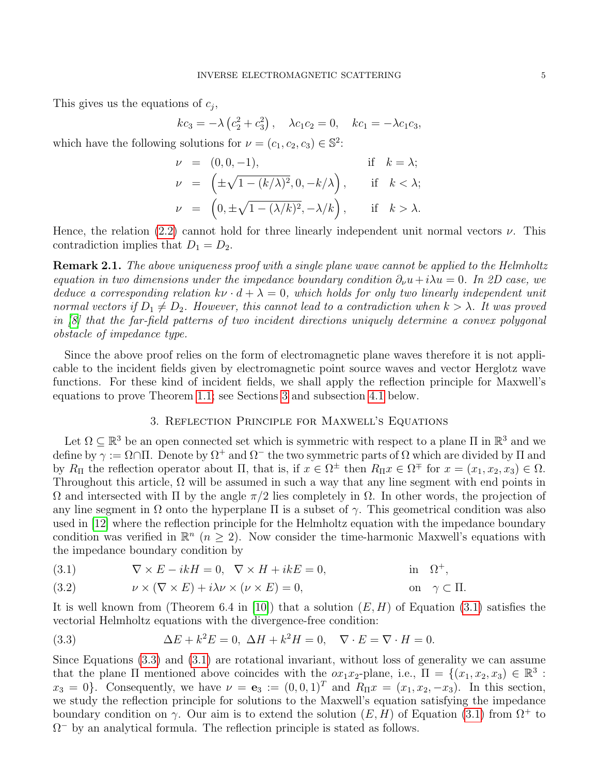This gives us the equations of  $c_j$ ,

$$
kc_3 = -\lambda (c_2^2 + c_3^2), \quad \lambda c_1 c_2 = 0, \quad kc_1 = -\lambda c_1 c_3,
$$

which have the following solutions for  $\nu = (c_1, c_2, c_3) \in \mathbb{S}^2$ :

$$
\nu = (0, 0, -1), \quad \text{if } k = \lambda; \n\nu = \left( \pm \sqrt{1 - (k/\lambda)^2}, 0, -k/\lambda \right), \quad \text{if } k < \lambda; \n\nu = \left( 0, \pm \sqrt{1 - (\lambda/k)^2}, -\lambda/k \right), \quad \text{if } k > \lambda.
$$

Hence, the relation [\(2.2\)](#page-3-1) cannot hold for three linearly independent unit normal vectors  $\nu$ . This contradiction implies that  $D_1 = D_2$ .

**Remark 2.1.** The above uniqueness proof with a single plane wave cannot be applied to the Helmholtz equation in two dimensions under the impedance boundary condition  $\partial_{\nu}u+i\lambda u = 0$ . In 2D case, we deduce a corresponding relation  $k\nu \cdot d + \lambda = 0$ , which holds for only two linearly independent unit normal vectors if  $D_1 \neq D_2$ . However, this cannot lead to a contradiction when  $k > \lambda$ . It was proved in [\[8\]](#page-21-7) that the far-field patterns of two incident directions uniquely determine a convex polygonal obstacle of impedance type.

Since the above proof relies on the form of electromagnetic plane waves therefore it is not applicable to the incident fields given by electromagnetic point source waves and vector Herglotz wave functions. For these kind of incident fields, we shall apply the reflection principle for Maxwell's equations to prove Theorem [1.1;](#page-2-0) see Sections [3](#page-4-0) and subsection [4.1](#page-12-0) below.

## 3. Reflection Principle for Maxwell's Equations

<span id="page-4-0"></span>Let  $\Omega \subseteq \mathbb{R}^3$  be an open connected set which is symmetric with respect to a plane  $\Pi$  in  $\mathbb{R}^3$  and we define by  $\gamma := \Omega \cap \Pi$ . Denote by  $\Omega^+$  and  $\Omega^-$  the two symmetric parts of  $\Omega$  which are divided by  $\Pi$  and by  $R_{\Pi}$  the reflection operator about  $\Pi$ , that is, if  $x \in \Omega^{\pm}$  then  $R_{\Pi}x \in \Omega^{\mp}$  for  $x = (x_1, x_2, x_3) \in \Omega$ . Throughout this article,  $\Omega$  will be assumed in such a way that any line segment with end points in  $Ω$  and intersected with  $Π$  by the angle  $π/2$  lies completely in  $Ω$ . In other words, the projection of any line segment in  $\Omega$  onto the hyperplane  $\Pi$  is a subset of  $\gamma$ . This geometrical condition was also used in [\[12\]](#page-21-21) where the reflection principle for the Helmholtz equation with the impedance boundary condition was verified in  $\mathbb{R}^n$  ( $n \geq 2$ ). Now consider the time-harmonic Maxwell's equations with the impedance boundary condition by

<span id="page-4-1"></span>(3.1) 
$$
\nabla \times E - ikH = 0, \quad \nabla \times H + ikE = 0, \quad \text{in} \quad \Omega^{+},
$$

<span id="page-4-3"></span>(3.2) 
$$
\nu \times (\nabla \times E) + i\lambda \nu \times (\nu \times E) = 0, \qquad \text{on } \gamma \subset \Pi.
$$

It is well known from (Theorem 6.4 in [\[10\]](#page-21-0)) that a solution  $(E, H)$  of Equation [\(3.1\)](#page-4-1) satisfies the vectorial Helmholtz equations with the divergence-free condition:

<span id="page-4-2"></span>(3.3) 
$$
\Delta E + k^2 E = 0, \ \Delta H + k^2 H = 0, \quad \nabla \cdot E = \nabla \cdot H = 0.
$$

Since Equations [\(3.3\)](#page-4-2) and [\(3.1\)](#page-4-1) are rotational invariant, without loss of generality we can assume that the plane  $\Pi$  mentioned above coincides with the  $\overline{ox_1x_2}$ -plane, i.e.,  $\Pi = \{(x_1, x_2, x_3) \in \mathbb{R}^3$ :  $x_3 = 0$ . Consequently, we have  $\nu = e_3 := (0, 0, 1)^T$  and  $R_{\Pi}x = (x_1, x_2, -x_3)$ . In this section, we study the reflection principle for solutions to the Maxwell's equation satisfying the impedance boundary condition on  $\gamma$ . Our aim is to extend the solution  $(E, H)$  of Equation [\(3.1\)](#page-4-1) from  $\Omega^+$  to  $\Omega$ <sup>-</sup> by an analytical formula. The reflection principle is stated as follows.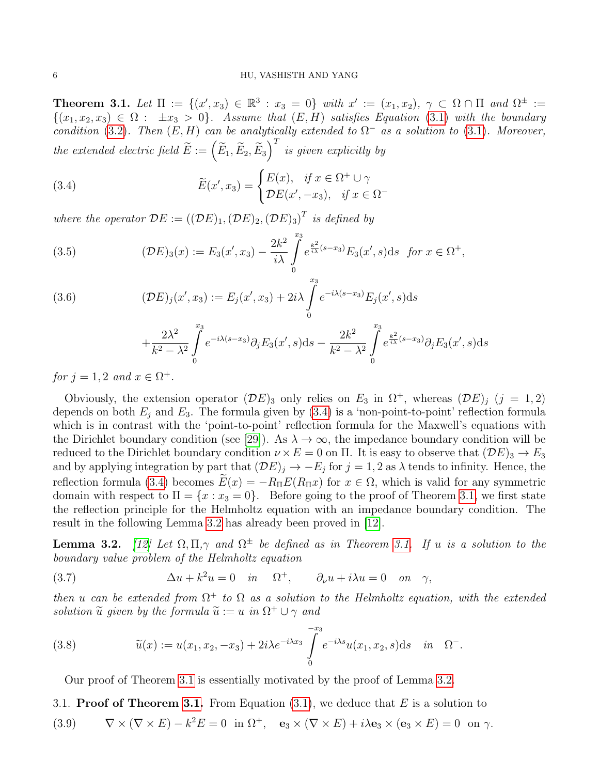<span id="page-5-0"></span>Theorem 3.1. Let  $\Pi := \{ (x', x_3) \in \mathbb{R}^3 : x_3 = 0 \}$  with  $x' := (x_1, x_2), \gamma \subset \Omega \cap \Pi$  and  $\Omega^{\pm} :=$  $\{(x_1, x_2, x_3) \in \Omega : \pm x_3 > 0\}$ . Assume that  $(E, H)$  satisfies Equation [\(3.1\)](#page-4-1) with the boundary condition [\(3.2\)](#page-4-3). Then  $(E, H)$  can be analytically extended to  $\Omega^-$  as a solution to [\(3.1\)](#page-4-1). Moreover, the extended electric field  $\widetilde{E}:=\left(\widetilde{E}_1,\widetilde{E}_2,\widetilde{E}_3\right)^T$  is given explicitly by

<span id="page-5-1"></span>(3.4) 
$$
\widetilde{E}(x', x_3) = \begin{cases} E(x), & \text{if } x \in \Omega^+ \cup \gamma \\ \mathcal{D}E(x', -x_3), & \text{if } x \in \Omega^- \end{cases}
$$

where the operator  $\mathcal{D}E := ((\mathcal{D}E)_1, (\mathcal{D}E)_2, (\mathcal{D}E)_3)^T$  is defined by

<span id="page-5-3"></span>(3.5) 
$$
(\mathcal{D}E)_3(x) := E_3(x', x_3) - \frac{2k^2}{i\lambda} \int_0^{x_3} e^{\frac{k^2}{i\lambda}(s-x_3)} E_3(x', s) ds \text{ for } x \in \Omega^+,
$$

(3.6) 
$$
(\mathcal{D}E)_j(x',x_3) := E_j(x',x_3) + 2i\lambda \int_0^{x_3} e^{-i\lambda(s-x_3)} E_j(x',s) ds
$$

$$
+\frac{2\lambda^2}{k^2-\lambda^2}\int\limits_{0}^{x_3}e^{-i\lambda(s-x_3)}\partial_jE_3(x',s)\mathrm{d}s-\frac{2k^2}{k^2-\lambda^2}\int\limits_{0}^{x_3}e^{\frac{k^2}{i\lambda}(s-x_3)}\partial_jE_3(x',s)\mathrm{d}s
$$

for  $j = 1, 2$  and  $x \in \Omega^+$ .

Obviously, the extension operator  $(\mathcal{D}E)_3$  only relies on  $E_3$  in  $\Omega^+$ , whereas  $(\mathcal{D}E)_j$   $(j = 1, 2)$ depends on both  $E_j$  and  $E_3$ . The formula given by [\(3.4\)](#page-5-1) is a 'non-point-to-point' reflection formula which is in contrast with the 'point-to-point' reflection formula for the Maxwell's equations with the Dirichlet boundary condition (see [\[29\]](#page-21-6)). As  $\lambda \to \infty$ , the impedance boundary condition will be reduced to the Dirichlet boundary condition  $\nu \times E = 0$  on  $\Pi$ . It is easy to observe that  $(\mathcal{D}E)_3 \to E_3$ and by applying integration by part that  $(DE)_j \rightarrow -E_j$  for  $j = 1, 2$  as  $\lambda$  tends to infinity. Hence, the reflection formula [\(3.4\)](#page-5-1) becomes  $\widetilde{E}(x) = -R_{\Pi}E(R_{\Pi}x)$  for  $x \in \Omega$ , which is valid for any symmetric domain with respect to  $\Pi = \{x : x_3 = 0\}$ . Before going to the proof of Theorem [3.1,](#page-5-0) we first state the reflection principle for the Helmholtz equation with an impedance boundary condition. The result in the following Lemma [3.2](#page-5-2) has already been proved in [\[12\]](#page-21-21).

<span id="page-5-2"></span>**Lemma 3.2.** [\[12\]](#page-21-21) Let  $\Omega, \Pi, \gamma$  and  $\Omega^{\pm}$  be defined as in Theorem [3.1.](#page-5-0) If u is a solution to the boundary value problem of the Helmholtz equation

(3.7) 
$$
\Delta u + k^2 u = 0 \quad in \quad \Omega^+, \qquad \partial_\nu u + i\lambda u = 0 \quad on \quad \gamma,
$$

then u can be extended from  $\Omega^+$  to  $\Omega$  as a solution to the Helmholtz equation, with the extended solution  $\widetilde{u}$  given by the formula  $\widetilde{u} := u$  in  $\Omega^+ \cup \gamma$  and

(3.8) 
$$
\widetilde{u}(x) := u(x_1, x_2, -x_3) + 2i\lambda e^{-i\lambda x_3} \int_{0}^{-x_3} e^{-i\lambda s} u(x_1, x_2, s) \mathrm{d} s \quad in \quad \Omega^-.
$$

Our proof of Theorem [3.1](#page-5-0) is essentially motivated by the proof of Lemma [3.2.](#page-5-2)

3.1. **Proof of Theorem [3.1.](#page-5-0)** From Equation  $(3.1)$ , we deduce that E is a solution to

(3.9) 
$$
\nabla \times (\nabla \times E) - k^2 E = 0 \text{ in } \Omega^+, \quad \mathbf{e}_3 \times (\nabla \times E) + i\lambda \mathbf{e}_3 \times (\mathbf{e}_3 \times E) = 0 \text{ on } \gamma.
$$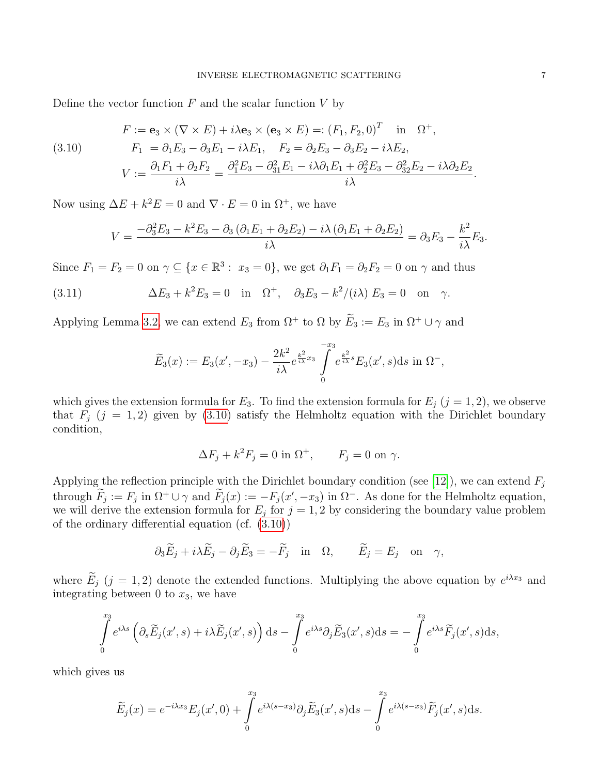Define the vector function  $F$  and the scalar function  $V$  by

<span id="page-6-0"></span>(3.10) 
$$
F := \mathbf{e}_3 \times (\nabla \times E) + i\lambda \mathbf{e}_3 \times (\mathbf{e}_3 \times E) =: (F_1, F_2, 0)^T \text{ in } \Omega^+,
$$

$$
F_1 = \partial_1 E_3 - \partial_3 E_1 - i\lambda E_1, \quad F_2 = \partial_2 E_3 - \partial_3 E_2 - i\lambda E_2,
$$

$$
V := \frac{\partial_1 F_1 + \partial_2 F_2}{i\lambda} = \frac{\partial_1^2 E_3 - \partial_3^2 E_1 - i\lambda \partial_1 E_1 + \partial_2^2 E_3 - \partial_3^2 E_2 - i\lambda \partial_2 E_2}{i\lambda}.
$$

Now using  $\Delta E + k^2 E = 0$  and  $\nabla \cdot E = 0$  in  $\Omega^+$ , we have

$$
V = \frac{-\partial_3^2 E_3 - k^2 E_3 - \partial_3 (\partial_1 E_1 + \partial_2 E_2) - i \lambda (\partial_1 E_1 + \partial_2 E_2)}{i \lambda} = \partial_3 E_3 - \frac{k^2}{i \lambda} E_3.
$$

Since  $F_1 = F_2 = 0$  on  $\gamma \subseteq \{x \in \mathbb{R}^3 : x_3 = 0\}$ , we get  $\partial_1 F_1 = \partial_2 F_2 = 0$  on  $\gamma$  and thus

(3.11) 
$$
\Delta E_3 + k^2 E_3 = 0 \text{ in } \Omega^+, \partial_3 E_3 - k^2 / (i\lambda) E_3 = 0 \text{ on } \gamma.
$$

Applying Lemma [3.2,](#page-5-2) we can extend  $E_3$  from  $\Omega^+$  to  $\Omega$  by  $\widetilde{E}_3 := E_3$  in  $\Omega^+ \cup \gamma$  and

$$
\widetilde{E}_3(x) := E_3(x', -x_3) - \frac{2k^2}{i\lambda} e^{\frac{k^2}{i\lambda}x_3} \int\limits_{0}^{-x_3} e^{\frac{k^2}{i\lambda}s} E_3(x', s) ds \text{ in } \Omega^-,
$$

which gives the extension formula for  $E_3$ . To find the extension formula for  $E_j$  (j = 1, 2), we observe that  $F_j$  (j = 1, 2) given by [\(3.10\)](#page-6-0) satisfy the Helmholtz equation with the Dirichlet boundary condition,

$$
\Delta F_j + k^2 F_j = 0 \text{ in } \Omega^+, \qquad F_j = 0 \text{ on } \gamma.
$$

Applying the reflection principle with the Dirichlet boundary condition (see [\[12\]](#page-21-21)), we can extend  $F_i$ through  $F_j := F_j$  in  $\Omega^+ \cup \gamma$  and  $F_j(x) := -F_j(x', -x_3)$  in  $\Omega^-$ . As done for the Helmholtz equation, we will derive the extension formula for  $E_j$  for  $j = 1, 2$  by considering the boundary value problem of the ordinary differential equation (cf. [\(3.10\)](#page-6-0))

$$
\partial_3 \widetilde{E}_j + i\lambda \widetilde{E}_j - \partial_j \widetilde{E}_3 = -\widetilde{F}_j
$$
 in  $\Omega$ ,  $\widetilde{E}_j = E_j$  on  $\gamma$ ,

where  $E_j$  (j = 1, 2) denote the extended functions. Multiplying the above equation by  $e^{i\lambda x_3}$  and integrating between 0 to  $x_3$ , we have

$$
\int_{0}^{x_3} e^{i\lambda s} \left( \partial_s \widetilde{E}_j(x',s) + i\lambda \widetilde{E}_j(x',s) \right) ds - \int_{0}^{x_3} e^{i\lambda s} \partial_j \widetilde{E}_3(x',s) ds = -\int_{0}^{x_3} e^{i\lambda s} \widetilde{F}_j(x',s) ds,
$$

which gives us

$$
\widetilde{E}_j(x) = e^{-i\lambda x_3} E_j(x', 0) + \int_0^{x_3} e^{i\lambda(s-x_3)} \partial_j \widetilde{E}_3(x', s) ds - \int_0^{x_3} e^{i\lambda(s-x_3)} \widetilde{F}_j(x', s) ds.
$$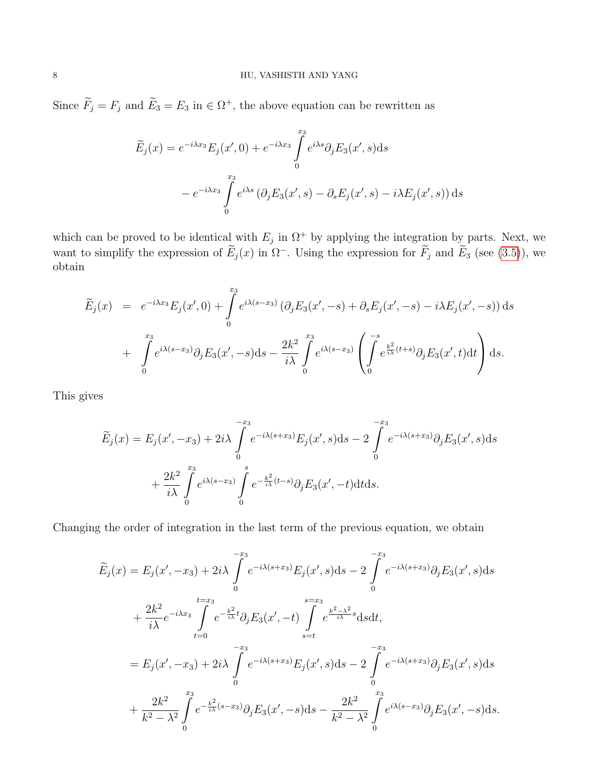Since  $\overline{F}_j = F_j$  and  $\overline{E}_3 = E_3$  in  $\in \Omega^+$ , the above equation can be rewritten as

$$
\widetilde{E}_j(x) = e^{-i\lambda x_3} E_j(x', 0) + e^{-i\lambda x_3} \int_0^{x_3} e^{i\lambda s} \partial_j E_3(x', s) ds
$$

$$
- e^{-i\lambda x_3} \int_0^{x_3} e^{i\lambda s} (\partial_j E_3(x', s) - \partial_s E_j(x', s) - i\lambda E_j(x', s)) ds
$$

which can be proved to be identical with  $E_j$  in  $\Omega^+$  by applying the integration by parts. Next, we want to simplify the expression of  $\widetilde{E}_j(x)$  in  $\Omega^-$ . Using the expression for  $\widetilde{F}_j$  and  $\widetilde{E}_3$  (see [\(3.5\)](#page-5-3)), we obtain

$$
\widetilde{E}_j(x) = e^{-i\lambda x_3} E_j(x', 0) + \int_0^{x_3} e^{i\lambda(s-x_3)} (\partial_j E_3(x', -s) + \partial_s E_j(x', -s) - i\lambda E_j(x', -s)) ds \n+ \int_0^{x_3} e^{i\lambda(s-x_3)} \partial_j E_3(x', -s) ds - \frac{2k^2}{i\lambda} \int_0^{x_3} e^{i\lambda(s-x_3)} \left( \int_0^{-s} e^{\frac{k^2}{i\lambda}(t+s)} \partial_j E_3(x', t) dt \right) ds.
$$

This gives

$$
\widetilde{E}_j(x) = E_j(x', -x_3) + 2i\lambda \int_0^{-x_3} e^{-i\lambda(s+x_3)} E_j(x', s) ds - 2 \int_0^{-x_3} e^{-i\lambda(s+x_3)} \partial_j E_3(x', s) ds \n+ \frac{2k^2}{i\lambda} \int_0^{x_3} e^{i\lambda(s-x_3)} \int_0^s e^{-\frac{k^2}{i\lambda}(t-s)} \partial_j E_3(x', -t) dt ds.
$$

Changing the order of integration in the last term of the previous equation, we obtain

$$
\widetilde{E}_{j}(x) = E_{j}(x', -x_{3}) + 2i\lambda \int_{0}^{-x_{3}} e^{-i\lambda(s+x_{3})} E_{j}(x', s) ds - 2 \int_{0}^{-x_{3}} e^{-i\lambda(s+x_{3})} \partial_{j} E_{3}(x', s) ds \n+ \frac{2k^{2}}{i\lambda} e^{-i\lambda x_{3}} \int_{t=0}^{t=x_{3}} e^{-\frac{k^{2}}{i\lambda}t} \partial_{j} E_{3}(x', -t) \int_{s=t}^{s=x_{3}} e^{\frac{k^{2}-\lambda^{2}}{i\lambda}s} ds dt, \n= E_{j}(x', -x_{3}) + 2i\lambda \int_{0}^{-x_{3}} e^{-i\lambda(s+x_{3})} E_{j}(x', s) ds - 2 \int_{0}^{-x_{3}} e^{-i\lambda(s+x_{3})} \partial_{j} E_{3}(x', s) ds \n+ \frac{2k^{2}}{k^{2}-\lambda^{2}} \int_{0}^{x_{3}} e^{-\frac{k^{2}}{i\lambda}(s-x_{3})} \partial_{j} E_{3}(x', -s) ds - \frac{2k^{2}}{k^{2}-\lambda^{2}} \int_{0}^{x_{3}} e^{i\lambda(s-x_{3})} \partial_{j} E_{3}(x', -s) ds.
$$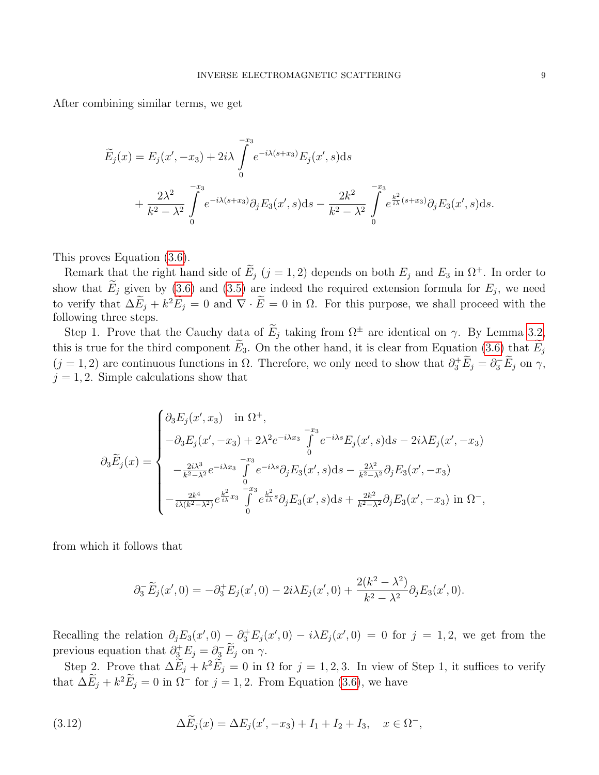After combining similar terms, we get

$$
\widetilde{E}_j(x) = E_j(x', -x_3) + 2i\lambda \int_0^{-x_3} e^{-i\lambda(s+x_3)} E_j(x', s) ds \n+ \frac{2\lambda^2}{k^2 - \lambda^2} \int_0^{-x_3} e^{-i\lambda(s+x_3)} \partial_j E_3(x', s) ds - \frac{2k^2}{k^2 - \lambda^2} \int_0^{-x_3} e^{\frac{k^2}{i\lambda}(s+x_3)} \partial_j E_3(x', s) ds.
$$

This proves Equation [\(3.6\)](#page-5-3).

Remark that the right hand side of  $E_j$  (j = 1, 2) depends on both  $E_j$  and  $E_3$  in  $\Omega^+$ . In order to show that  $E_j$  given by [\(3.6\)](#page-5-3) and [\(3.5\)](#page-5-3) are indeed the required extension formula for  $E_j$ , we need to verify that  $\Delta E_j + k^2 E_j = 0$  and  $\nabla \cdot \vec{E} = 0$  in  $\Omega$ . For this purpose, we shall proceed with the following three steps.

Step 1. Prove that the Cauchy data of  $\widetilde{E}_j$  taking from  $\Omega^{\pm}$  are identical on  $\gamma$ . By Lemma [3.2,](#page-5-2) this is true for the third component  $\widetilde{E}_3$ . On the other hand, it is clear from Equation [\(3.6\)](#page-5-3) that  $\widetilde{E}_j$  $(j = 1, 2)$  are continuous functions in  $\Omega$ . Therefore, we only need to show that  $\partial_3^+ \widetilde{E}_j = \partial_3^- \widetilde{E}_j$  on  $\gamma$ ,  $j = 1, 2$ . Simple calculations show that

$$
\partial_3 \widetilde{E}_j(x) = \begin{cases}\n\partial_3 E_j(x', x_3) & \text{in } \Omega^+, \\
-\partial_3 E_j(x', -x_3) + 2\lambda^2 e^{-i\lambda x_3} \int_0^{-x_3} e^{-i\lambda s} E_j(x', s) ds - 2i\lambda E_j(x', -x_3) \\
-\frac{2i\lambda^3}{k^2 - \lambda^2} e^{-i\lambda x_3} \int_0^{-x_3} e^{-i\lambda s} \partial_j E_3(x', s) ds - \frac{2\lambda^2}{k^2 - \lambda^2} \partial_j E_3(x', -x_3) \\
-\frac{2k^4}{i\lambda (k^2 - \lambda^2)} e^{\frac{k^2}{i\lambda} x_3} \int_0^{-x_3} e^{\frac{k^2}{i\lambda} s} \partial_j E_3(x', s) ds + \frac{2k^2}{k^2 - \lambda^2} \partial_j E_3(x', -x_3) \text{ in } \Omega^-, \n\end{cases}
$$

from which it follows that

$$
\partial_3^- \widetilde{E}_j(x',0) = -\partial_3^+ E_j(x',0) - 2i\lambda E_j(x',0) + \frac{2(k^2 - \lambda^2)}{k^2 - \lambda^2} \partial_j E_3(x',0).
$$

Recalling the relation  $\partial_j E_3(x',0) - \partial_3^+ E_j(x',0) - i\lambda E_j(x',0) = 0$  for  $j = 1,2$ , we get from the previous equation that  $\partial_{\underline{3}}^{\dagger} E_j = \partial_{\underline{3}} \widetilde{E}_j$  on  $\gamma$ .

Step 2. Prove that  $\Delta E_j + k^2 E_j = 0$  in  $\Omega$  for  $j = 1, 2, 3$ . In view of Step 1, it suffices to verify that  $\Delta E_j + k^2 E_j = 0$  in  $\Omega^-$  for  $j = 1, 2$ . From Equation [\(3.6\)](#page-5-3), we have

<span id="page-8-0"></span>(3.12) 
$$
\Delta \widetilde{E}_j(x) = \Delta E_j(x', -x_3) + I_1 + I_2 + I_3, \quad x \in \Omega^-,
$$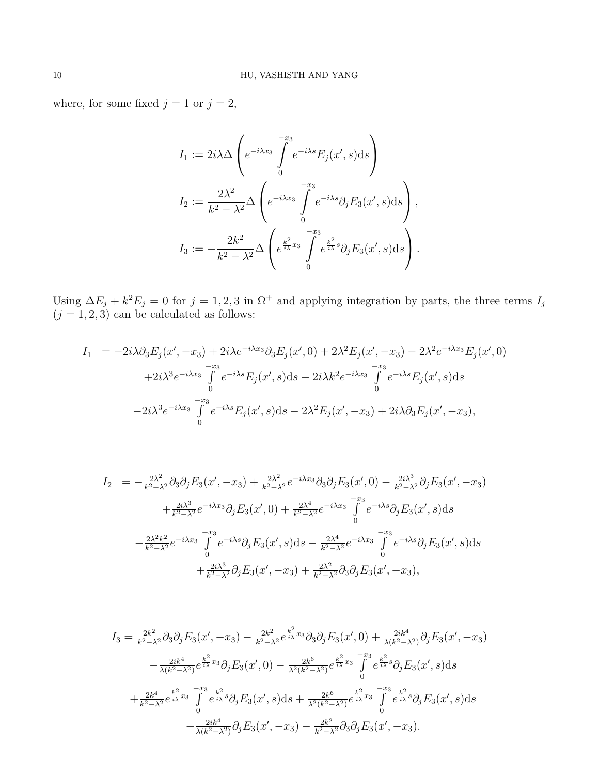where, for some fixed  $j=1$  or  $j=2,$ 

$$
I_1 := 2i\lambda \Delta \left( e^{-i\lambda x_3} \int_0^{-x_3} e^{-i\lambda s} E_j(x', s) ds \right)
$$
  
\n
$$
I_2 := \frac{2\lambda^2}{k^2 - \lambda^2} \Delta \left( e^{-i\lambda x_3} \int_0^{-x_3} e^{-i\lambda s} \partial_j E_3(x', s) ds \right),
$$
  
\n
$$
I_3 := -\frac{2k^2}{k^2 - \lambda^2} \Delta \left( e^{\frac{k^2}{i\lambda} x_3} \int_0^{-x_3} e^{\frac{k^2}{i\lambda} s} \partial_j E_3(x', s) ds \right).
$$

Using  $\Delta E_j + k^2 E_j = 0$  for  $j = 1, 2, 3$  in  $\Omega^+$  and applying integration by parts, the three terms  $I_j$  $(j = 1, 2, 3)$  can be calculated as follows:

$$
I_{1} = -2i\lambda\partial_{3}E_{j}(x', -x_{3}) + 2i\lambda e^{-i\lambda x_{3}}\partial_{3}E_{j}(x', 0) + 2\lambda^{2}E_{j}(x', -x_{3}) - 2\lambda^{2}e^{-i\lambda x_{3}}E_{j}(x', 0) + 2i\lambda^{3}e^{-i\lambda x_{3}}\int_{0}^{-x_{3}}e^{-i\lambda s}E_{j}(x', s)ds - 2i\lambda k^{2}e^{-i\lambda x_{3}}\int_{0}^{-x_{3}}e^{-i\lambda s}E_{j}(x', s)ds - 2i\lambda^{3}e^{-i\lambda x_{3}}\int_{0}^{-x_{3}}e^{-i\lambda s}E_{j}(x', s)ds - 2\lambda^{2}E_{j}(x', -x_{3}) + 2i\lambda\partial_{3}E_{j}(x', -x_{3}),
$$

$$
I_{2} = -\frac{2\lambda^{2}}{k^{2}-\lambda^{2}}\partial_{3}\partial_{j}E_{3}(x', -x_{3}) + \frac{2\lambda^{2}}{k^{2}-\lambda^{2}}e^{-i\lambda x_{3}}\partial_{3}\partial_{j}E_{3}(x', 0) - \frac{2i\lambda^{3}}{k^{2}-\lambda^{2}}\partial_{j}E_{3}(x', -x_{3})
$$
  
+ 
$$
\frac{2i\lambda^{3}}{k^{2}-\lambda^{2}}e^{-i\lambda x_{3}}\partial_{j}E_{3}(x', 0) + \frac{2\lambda^{4}}{k^{2}-\lambda^{2}}e^{-i\lambda x_{3}}\int_{0}^{-x_{3}}e^{-i\lambda s}\partial_{j}E_{3}(x', s)ds
$$
  
- 
$$
\frac{2\lambda^{2}k^{2}}{k^{2}-\lambda^{2}}e^{-i\lambda x_{3}}\int_{0}^{-x_{3}}e^{-i\lambda s}\partial_{j}E_{3}(x', s)ds - \frac{2\lambda^{4}}{k^{2}-\lambda^{2}}e^{-i\lambda x_{3}}\int_{0}^{-x_{3}}e^{-i\lambda s}\partial_{j}E_{3}(x', s)ds
$$
  
+ 
$$
\frac{2i\lambda^{3}}{k^{2}-\lambda^{2}}\partial_{j}E_{3}(x', -x_{3}) + \frac{2\lambda^{2}}{k^{2}-\lambda^{2}}\partial_{3}\partial_{j}E_{3}(x', -x_{3}),
$$

$$
I_{3} = \frac{2k^{2}}{k^{2}-\lambda^{2}} \partial_{3} \partial_{j} E_{3}(x', -x_{3}) - \frac{2k^{2}}{k^{2}-\lambda^{2}} e^{\frac{k^{2}}{i\lambda}x_{3}} \partial_{3} \partial_{j} E_{3}(x', 0) + \frac{2ik^{4}}{\lambda(k^{2}-\lambda^{2})} \partial_{j} E_{3}(x', -x_{3})
$$
  

$$
- \frac{2ik^{4}}{\lambda(k^{2}-\lambda^{2})} e^{\frac{k^{2}}{i\lambda}x_{3}} \partial_{j} E_{3}(x', 0) - \frac{2k^{6}}{\lambda^{2}(k^{2}-\lambda^{2})} e^{\frac{k^{2}}{i\lambda}x_{3}} \int_{0}^{-x_{3}} e^{\frac{k^{2}}{i\lambda}s} \partial_{j} E_{3}(x', s) ds
$$
  

$$
+ \frac{2k^{4}}{k^{2}-\lambda^{2}} e^{\frac{k^{2}}{i\lambda}x_{3}} \int_{0}^{-x_{3}} e^{\frac{k^{2}}{i\lambda}s} \partial_{j} E_{3}(x', s) ds + \frac{2k^{6}}{\lambda^{2}(k^{2}-\lambda^{2})} e^{\frac{k^{2}}{i\lambda}x_{3}} \int_{0}^{-x_{3}} e^{\frac{k^{2}}{i\lambda}s} \partial_{j} E_{3}(x', s) ds
$$
  

$$
- \frac{2ik^{4}}{\lambda(k^{2}-\lambda^{2})} \partial_{j} E_{3}(x', -x_{3}) - \frac{2k^{2}}{k^{2}-\lambda^{2}} \partial_{3} \partial_{j} E_{3}(x', -x_{3}).
$$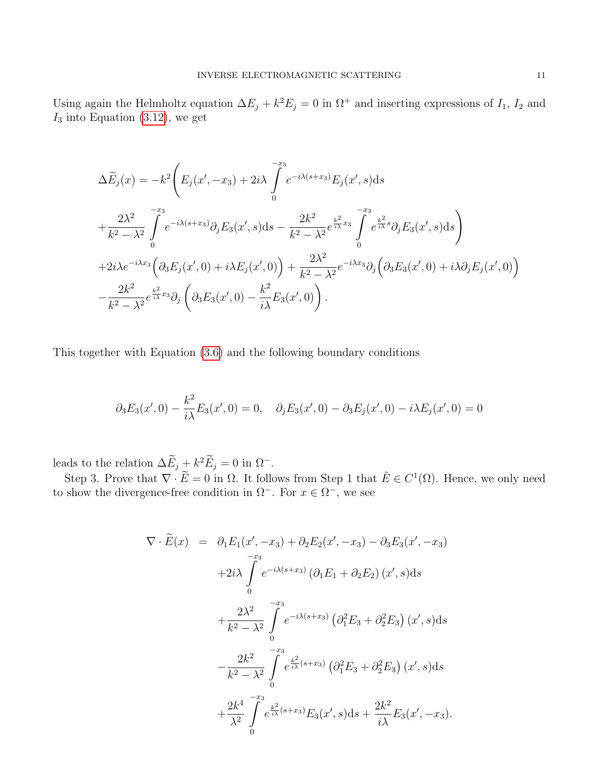Using again the Helmholtz equation  $\Delta E_j + k^2 E_j = 0$  in  $\Omega^+$  and inserting expressions of  $I_1$ ,  $I_2$  and  $I_3$  into Equation [\(3.12\)](#page-8-0), we get

$$
\Delta \widetilde{E}_j(x) = -k^2 \left( E_j(x', -x_3) + 2i\lambda \int_0^{-x_3} e^{-i\lambda(s+x_3)} E_j(x', s) ds \n+ \frac{2\lambda^2}{k^2 - \lambda^2} \int_0^{-x_3} e^{-i\lambda(s+x_3)} \partial_j E_3(x', s) ds - \frac{2k^2}{k^2 - \lambda^2} e^{\frac{k^2}{k\lambda}x_3} \int_0^{-x_3} e^{\frac{k^2}{k\lambda}x_3} \partial_j E_3(x', s) ds \right) \n+ 2i\lambda e^{-i\lambda x_3} \left( \partial_3 E_j(x', 0) + i\lambda E_j(x', 0) \right) + \frac{2\lambda^2}{k^2 - \lambda^2} e^{-i\lambda x_3} \partial_j \left( \partial_3 E_3(x', 0) + i\lambda \partial_j E_j(x', 0) \right) \n- \frac{2k^2}{k^2 - \lambda^2} e^{\frac{k^2}{k\lambda}x_3} \partial_j \left( \partial_3 E_3(x', 0) - \frac{k^2}{i\lambda} E_3(x', 0) \right).
$$

This together with Equation [\(3.6\)](#page-5-3) and the following boundary conditions

$$
\partial_3 E_3(x',0) - \frac{k^2}{i\lambda} E_3(x',0) = 0, \quad \partial_j E_3(x',0) - \partial_3 E_j(x',0) - i\lambda E_j(x',0) = 0
$$

leads to the relation  $\Delta E_j + k^2 E_j = 0$  in  $\Omega^-$ .

Step 3. Prove that  $\nabla \cdot \widetilde{E} = 0$  in  $\Omega$ . It follows from Step 1 that  $\widetilde{E} \in C^1(\Omega)$ . Hence, we only need to show the divergence-free condition in  $\Omega^-$ . For  $x \in \Omega^-$ , we see

$$
\nabla \cdot \widetilde{E}(x) = \partial_1 E_1(x', -x_3) + \partial_2 E_2(x', -x_3) - \partial_3 E_3(x', -x_3)
$$
  
\n
$$
+ 2i\lambda \int_0^{-x_3} e^{-i\lambda(s+x_3)} (\partial_1 E_1 + \partial_2 E_2) (x', s) ds
$$
  
\n
$$
+ \frac{2\lambda^2}{k^2 - \lambda^2} \int_0^{-x_3} e^{-i\lambda(s+x_3)} (\partial_1^2 E_3 + \partial_2^2 E_3) (x', s) ds
$$
  
\n
$$
- \frac{2k^2}{k^2 - \lambda^2} \int_0^{-x_3} e^{\frac{k^2}{i\lambda}(s+x_3)} (\partial_1^2 E_3 + \partial_2^2 E_3) (x', s) ds
$$
  
\n
$$
+ \frac{2k^4}{\lambda^2} \int_0^{-x_3} e^{\frac{k^2}{i\lambda}(s+x_3)} E_3(x', s) ds + \frac{2k^2}{i\lambda} E_3(x', -x_3).
$$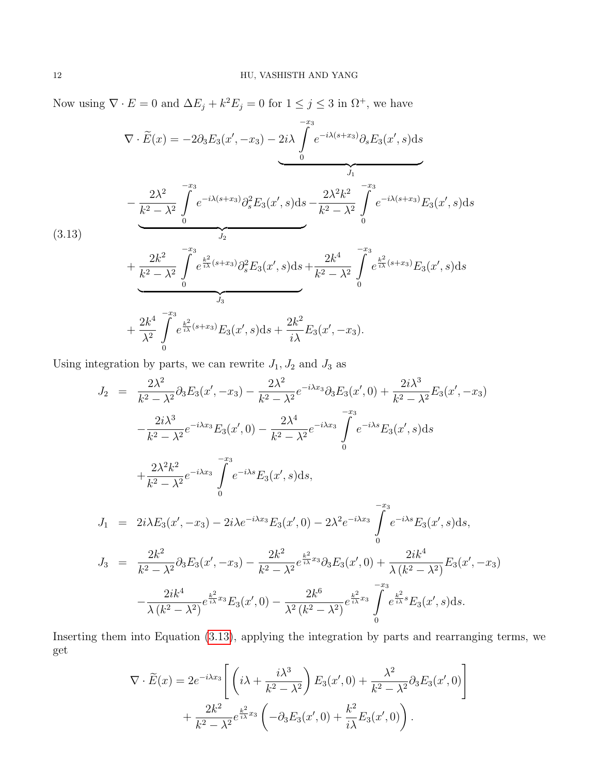Now using  $\nabla \cdot E = 0$  and  $\Delta E_j + k^2 E_j = 0$  for  $1 \le j \le 3$  in  $\Omega^+$ , we have

$$
\nabla \cdot \widetilde{E}(x) = -2\partial_3 E_3(x', -x_3) - 2i\lambda \int_0^{-x_3} e^{-i\lambda(s+x_3)} \partial_s E_3(x', s) ds
$$
  
- 
$$
\underbrace{\frac{2\lambda^2}{k^2 - \lambda^2} \int_0^{-x_3} e^{-i\lambda(s+x_3)} \partial_s^2 E_3(x', s) ds}_{J_2} - \underbrace{\frac{2\lambda^2 k^2}{k^2 - \lambda^2} \int_0^{-x_3} e^{-i\lambda(s+x_3)} E_3(x', s) ds}_{J_2}
$$

<span id="page-11-0"></span>(3.13)

$$
+\frac{2k^2}{k^2-\lambda^2}\int\limits_{0}^{-x_3}\frac{e^{\frac{k^2}{i\lambda}(s+x_3)}\partial_s^2E_3(x',s)\mathrm{d}s+\frac{2k^4}{k^2-\lambda^2}\int\limits_{0}^{-x_3}e^{\frac{k^2}{i\lambda}(s+x_3)}E_3(x',s)\mathrm{d}s}{\int\limits_{0}^{x_3}+\frac{2k^4}{\lambda^2}\int\limits_{0}^{-x_3}e^{\frac{k^2}{i\lambda}(s+x_3)}E_3(x',s)\mathrm{d}s+\frac{2k^2}{i\lambda}E_3(x',-x_3).
$$

Using integration by parts, we can rewrite  $J_1, J_2$  and  $J_3$  as

$$
J_2 = \frac{2\lambda^2}{k^2 - \lambda^2} \partial_3 E_3(x', -x_3) - \frac{2\lambda^2}{k^2 - \lambda^2} e^{-i\lambda x_3} \partial_3 E_3(x', 0) + \frac{2i\lambda^3}{k^2 - \lambda^2} E_3(x', -x_3)
$$
  
\n
$$
- \frac{2i\lambda^3}{k^2 - \lambda^2} e^{-i\lambda x_3} E_3(x', 0) - \frac{2\lambda^4}{k^2 - \lambda^2} e^{-i\lambda x_3} \int_0^{-x_3} e^{-i\lambda s} E_3(x', s) ds
$$
  
\n
$$
+ \frac{2\lambda^2 k^2}{k^2 - \lambda^2} e^{-i\lambda x_3} \int_0^{-x_3} e^{-i\lambda s} E_3(x', s) ds,
$$
  
\n
$$
J_1 = 2i\lambda E_3(x', -x_3) - 2i\lambda e^{-i\lambda x_3} E_3(x', 0) - 2\lambda^2 e^{-i\lambda x_3} \int_0^{-x_3} e^{-i\lambda s} E_3(x', s) ds,
$$
  
\n
$$
J_3 = \frac{2k^2}{k^2 - \lambda^2} \partial_3 E_3(x', -x_3) - \frac{2k^2}{k^2 - \lambda^2} e^{\frac{k^2}{k\lambda}x_3} \partial_3 E_3(x', 0) + \frac{2ik^4}{\lambda (k^2 - \lambda^2)} E_3(x', -x_3)
$$
  
\n
$$
- \frac{2ik^4}{\lambda (k^2 - \lambda^2)} e^{\frac{k^2}{k\lambda}x_3} E_3(x', 0) - \frac{2k^6}{\lambda^2 (k^2 - \lambda^2)} e^{\frac{k^2}{k\lambda}x_3} \int_0^{-x_3} e^{\frac{k^2}{k\lambda} s} E_3(x', s) ds.
$$

Inserting them into Equation [\(3.13\)](#page-11-0), applying the integration by parts and rearranging terms, we get

$$
\nabla \cdot \widetilde{E}(x) = 2e^{-i\lambda x_3} \left[ \left( i\lambda + \frac{i\lambda^3}{k^2 - \lambda^2} \right) E_3(x', 0) + \frac{\lambda^2}{k^2 - \lambda^2} \partial_3 E_3(x', 0) \right] + \frac{2k^2}{k^2 - \lambda^2} e^{\frac{k^2}{i\lambda} x_3} \left( -\partial_3 E_3(x', 0) + \frac{k^2}{i\lambda} E_3(x', 0) \right).
$$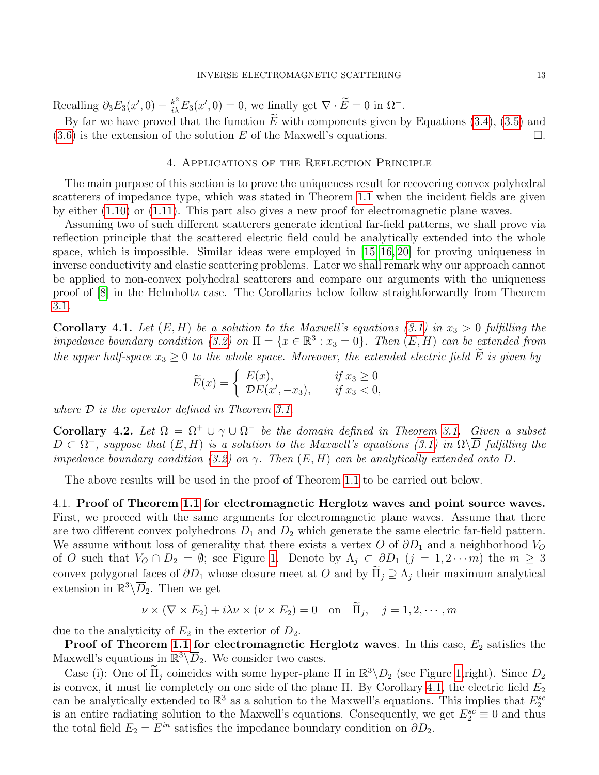Recalling  $\partial_3 E_3(x',0) - \frac{k^2}{i\lambda} E_3(x',0) = 0$ , we finally get  $\nabla \cdot \widetilde{E} = 0$  in  $\Omega^-$ .

By far we have proved that the function  $\overline{E}$  with components given by Equations [\(3.4\)](#page-5-1), [\(3.5\)](#page-5-3) and .6) is the extension of the solution  $E$  of the Maxwell's equations.  $(3.6)$  is the extension of the solution E of the Maxwell's equations.

### 4. Applications of the Reflection Principle

The main purpose of this section is to prove the uniqueness result for recovering convex polyhedral scatterers of impedance type, which was stated in Theorem [1.1](#page-2-0) when the incident fields are given by either [\(1.10\)](#page-1-0) or [\(1.11\)](#page-1-3). This part also gives a new proof for electromagnetic plane waves.

Assuming two of such different scatterers generate identical far-field patterns, we shall prove via reflection principle that the scattered electric field could be analytically extended into the whole space, which is impossible. Similar ideas were employed in  $[15, 16, 20]$  $[15, 16, 20]$  $[15, 16, 20]$  for proving uniqueness in inverse conductivity and elastic scattering problems. Later we shall remark why our approach cannot be applied to non-convex polyhedral scatterers and compare our arguments with the uniqueness proof of [\[8\]](#page-21-7) in the Helmholtz case. The Corollaries below follow straightforwardly from Theorem [3.1.](#page-5-0)

<span id="page-12-1"></span>**Corollary 4.1.** Let  $(E, H)$  be a solution to the Maxwell's equations [\(3.1\)](#page-4-1) in  $x_3 > 0$  fulfilling the impedance boundary condition [\(3.2\)](#page-4-3) on  $\Pi = \{x \in \mathbb{R}^3 : x_3 = 0\}$ . Then  $(E, H)$  can be extended from the upper half-space  $x_3 \geq 0$  to the whole space. Moreover, the extended electric field  $\widetilde{E}$  is given by

$$
\widetilde{E}(x) = \begin{cases}\nE(x), & \text{if } x_3 \ge 0 \\
\mathcal{D}E(x', -x_3), & \text{if } x_3 < 0,\n\end{cases}
$$

where  $\mathcal D$  is the operator defined in Theorem [3.1.](#page-5-0)

<span id="page-12-2"></span>**Corollary 4.2.** Let  $\Omega = \Omega^+ \cup \gamma \cup \Omega^-$  be the domain defined in Theorem [3.1.](#page-5-0) Given a subset  $D \subset \Omega^-$ , suppose that  $(E, H)$  is a solution to the Maxwell's equations [\(3.1\)](#page-4-1) in  $\Omega \backslash \overline{D}$  fulfilling the impedance boundary condition [\(3.2\)](#page-4-3) on  $\gamma$ . Then  $(E, H)$  can be analytically extended onto  $\overline{D}$ .

The above results will be used in the proof of Theorem [1.1](#page-2-0) to be carried out below.

<span id="page-12-0"></span>4.1. Proof of Theorem [1.1](#page-2-0) for electromagnetic Herglotz waves and point source waves. First, we proceed with the same arguments for electromagnetic plane waves. Assume that there are two different convex polyhedrons  $D_1$  and  $D_2$  which generate the same electric far-field pattern. We assume without loss of generality that there exists a vertex O of  $\partial D_1$  and a neighborhood  $V_O$ of O such that  $V_O \cap \overline{D}_2 = \emptyset$ ; see Figure [1.](#page-13-0) Denote by  $\Lambda_j \subset \partial D_1$   $(j = 1, 2 \cdots m)$  the  $m \geq 3$ convex polygonal faces of  $\partial D_1$  whose closure meet at O and by  $\tilde{\Pi}_i \supseteq \Lambda_i$  their maximum analytical extension in  $\mathbb{R}^3 \backslash \overline{D}_2$ . Then we get

$$
\nu \times (\nabla \times E_2) + i\lambda \nu \times (\nu \times E_2) = 0 \quad \text{on} \quad \tilde{\Pi}_j, \quad j = 1, 2, \cdots, m
$$

due to the analyticity of  $E_2$  in the exterior of  $\overline{D}_2$ .

**Proof of Theorem [1.1](#page-2-0) for electromagnetic Herglotz waves**. In this case,  $E_2$  satisfies the Maxwell's equations in  $\mathbb{R}^3\backslash\overline{D}_2$ . We consider two cases.

Case (i): One of  $\widetilde{\Pi}_j$  coincides with some hyper-plane  $\Pi$  in  $\mathbb{R}^3 \setminus \overline{D_2}$  (see Figure [1,](#page-13-0)right). Since  $D_2$ is convex, it must lie completely on one side of the plane Π. By Corollary [4.1,](#page-12-1) the electric field  $E_2$ can be analytically extended to  $\mathbb{R}^3$  as a solution to the Maxwell's equations. This implies that  $E_2^{sc}$ is an entire radiating solution to the Maxwell's equations. Consequently, we get  $E_2^{sc} \equiv 0$  and thus the total field  $E_2 = E^{in}$  satisfies the impedance boundary condition on  $\partial D_2$ .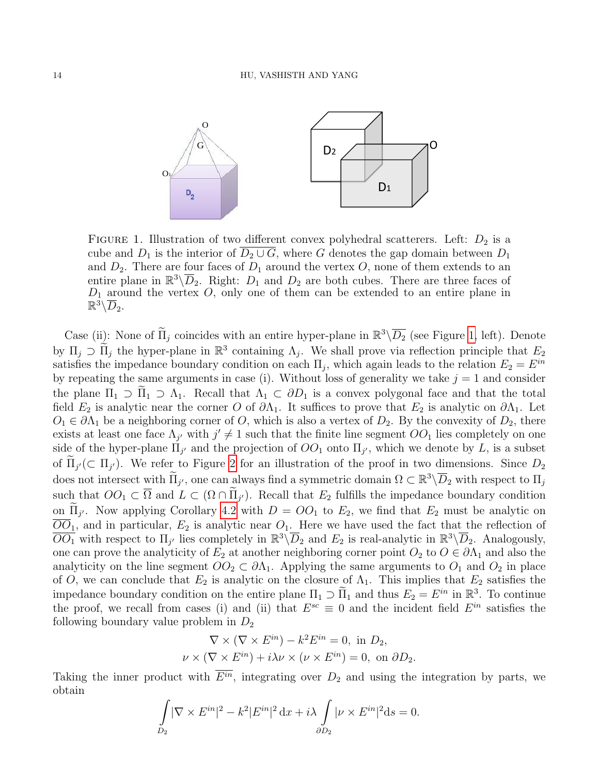

<span id="page-13-0"></span>FIGURE 1. Illustration of two different convex polyhedral scatterers. Left:  $D_2$  is a cube and  $D_1$  is the interior of  $\overline{D_2 \cup G}$ , where G denotes the gap domain between  $D_1$ and  $D_2$ . There are four faces of  $D_1$  around the vertex O, none of them extends to an entire plane in  $\mathbb{R}^3\backslash\overline{D}_2$ . Right:  $D_1$  and  $D_2$  are both cubes. There are three faces of  $D_1$  around the vertex O, only one of them can be extended to an entire plane in  $\mathbb{R}^3\backslash\overline{D}_2.$ 

Case (ii): None of  $\tilde{\Pi}_j$  coincides with an entire hyper-plane in  $\mathbb{R}^3 \setminus \overline{D_2}$  (see Figure [1,](#page-13-0) left). Denote by  $\Pi_j \supset \widetilde{\Pi}_j$  the hyper-plane in  $\mathbb{R}^3$  containing  $\Lambda_j$ . We shall prove via reflection principle that  $E_2$ satisfies the impedance boundary condition on each  $\Pi_j$ , which again leads to the relation  $E_2 = E^{in}$ by repeating the same arguments in case (i). Without loss of generality we take  $j = 1$  and consider the plane  $\Pi_1 \supset \Pi_1 \supset \Lambda_1$ . Recall that  $\Lambda_1 \subset \partial D_1$  is a convex polygonal face and that the total field  $E_2$  is analytic near the corner O of  $\partial\Lambda_1$ . It suffices to prove that  $E_2$  is analytic on  $\partial\Lambda_1$ . Let  $O_1 \in \partial \Lambda_1$  be a neighboring corner of O, which is also a vertex of  $D_2$ . By the convexity of  $D_2$ , there exists at least one face  $\Lambda_{j'}$  with  $j' \neq 1$  such that the finite line segment  $OO_1$  lies completely on one side of the hyper-plane  $\Pi_{j'}$  and the projection of  $OO_1$  onto  $\Pi_{j'}$ , which we denote by L, is a subset of  $\Pi_{j'} (\subset \Pi_{j'})$ . We refer to Figure [2](#page-14-1) for an illustration of the proof in two dimensions. Since  $D_2$ does not intersect with  $\widetilde{\Pi}_{j'}$ , one can always find a symmetric domain  $\Omega \subset \mathbb{R}^3 \setminus \overline{D}_2$  with respect to  $\Pi_j$ such that  $OO_1 \subset \overline{\Omega}$  and  $L \subset (\Omega \cap \Pi_{j'})$ . Recall that  $E_2$  fulfills the impedance boundary condition on  $\Pi_{j'}$ . Now applying Corollary [4.2](#page-12-2) with  $D = OO_1$  to  $E_2$ , we find that  $E_2$  must be analytic on  $\overline{OO}_1$ , and in particular,  $E_2$  is analytic near  $O_1$ . Here we have used the fact that the reflection of  $\overline{OO_1}$  with respect to  $\Pi_{j'}$  lies completely in  $\mathbb{R}^3\backslash\overline{D}_2$  and  $E_2$  is real-analytic in  $\mathbb{R}^3\backslash\overline{D}_2$ . Analogously, one can prove the analyticity of  $E_2$  at another neighboring corner point  $O_2$  to  $O \in \partial \Lambda_1$  and also the analyticity on the line segment  $OO_2 \subset \partial \Lambda_1$ . Applying the same arguments to  $O_1$  and  $O_2$  in place of O, we can conclude that  $E_2$  is analytic on the closure of  $\Lambda_1$ . This implies that  $E_2$  satisfies the impedance boundary condition on the entire plane  $\Pi_1 \supset \widetilde{\Pi}_1$  and thus  $E_2 = E^{in}$  in  $\mathbb{R}^3$ . To continue the proof, we recall from cases (i) and (ii) that  $E^{sc} \equiv 0$  and the incident field  $E^{in}$  satisfies the following boundary value problem in  $D_2$ 

$$
\nabla \times (\nabla \times E^{in}) - k^2 E^{in} = 0, \text{ in } D_2,
$$
  

$$
\nu \times (\nabla \times E^{in}) + i\lambda \nu \times (\nu \times E^{in}) = 0, \text{ on } \partial D_2.
$$

Taking the inner product with  $\overline{E^{in}}$ , integrating over  $D_2$  and using the integration by parts, we obtain

$$
\int_{D_2} |\nabla \times E^{in}|^2 - k^2 |E^{in}|^2 dx + i\lambda \int_{\partial D_2} |\nu \times E^{in}|^2 ds = 0.
$$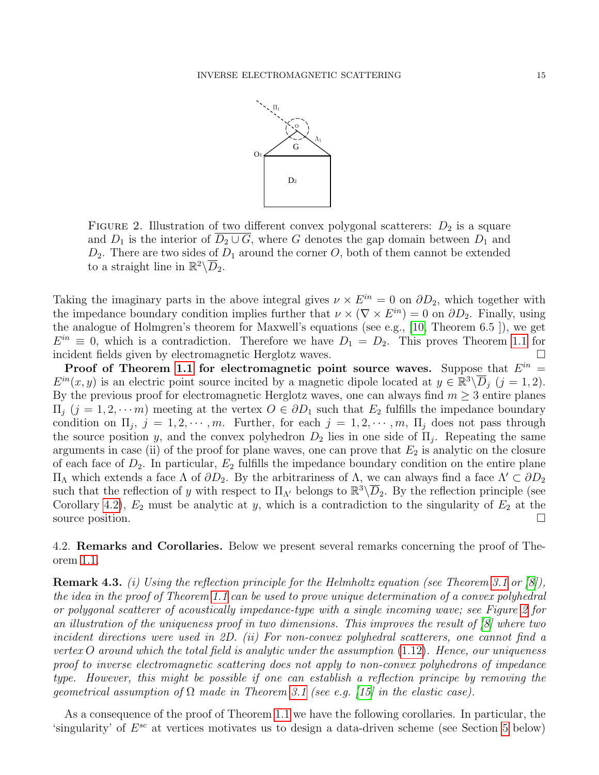

<span id="page-14-1"></span>FIGURE 2. Illustration of two different convex polygonal scatterers:  $D_2$  is a square and  $D_1$  is the interior of  $\overline{D_2 \cup G}$ , where G denotes the gap domain between  $D_1$  and  $D_2$ . There are two sides of  $D_1$  around the corner O, both of them cannot be extended to a straight line in  $\mathbb{R}^2 \backslash \overline{D}_2$ .

Taking the imaginary parts in the above integral gives  $\nu \times E^{in} = 0$  on  $\partial D_2$ , which together with the impedance boundary condition implies further that  $\nu \times (\nabla \times E^{in}) = 0$  on  $\partial D_2$ . Finally, using the analogue of Holmgren's theorem for Maxwell's equations (see e.g., [\[10,](#page-21-0) Theorem 6.5 ]), we get  $E^{in} \equiv 0$ , which is a contradiction. Therefore we have  $D_1 = D_2$ . This proves Theorem [1.1](#page-2-0) for incident fields given by electromagnetic Herglotz waves.

Proof of Theorem [1.1](#page-2-0) for electromagnetic point source waves. Suppose that  $E^{in}$  =  $E^{in}(x, y)$  is an electric point source incited by a magnetic dipole located at  $y \in \mathbb{R}^3 \setminus \overline{D}_j$   $(j = 1, 2)$ . By the previous proof for electromagnetic Herglotz waves, one can always find  $m \geq 3$  entire planes  $\Pi_i$   $(j = 1, 2, \dots, m)$  meeting at the vertex  $O \in \partial D_1$  such that  $E_2$  fulfills the impedance boundary condition on  $\Pi_j$ ,  $j = 1, 2, \dots, m$ . Further, for each  $j = 1, 2, \dots, m$ ,  $\Pi_j$  does not pass through the source position y, and the convex polyhedron  $D_2$  lies in one side of  $\Pi_j$ . Repeating the same arguments in case (ii) of the proof for plane waves, one can prove that  $E_2$  is analytic on the closure of each face of  $D_2$ . In particular,  $E_2$  fulfills the impedance boundary condition on the entire plane  $\Pi$ <sup>Λ</sup> which extends a face Λ of  $\partial D_2$ . By the arbitrariness of Λ, we can always find a face  $Λ' ⊂ \partial D_2$ such that the reflection of y with respect to  $\Pi_{\Lambda'}$  belongs to  $\mathbb{R}^3\backslash\overline{D}_2$ . By the reflection principle (see Corollary [4.2\)](#page-12-2),  $E_2$  must be analytic at y, which is a contradiction to the singularity of  $E_2$  at the source position.

<span id="page-14-0"></span>4.2. Remarks and Corollaries. Below we present several remarks concerning the proof of Theorem [1.1.](#page-2-0)

**Remark 4.3.** (i) Using the reflection principle for the Helmholtz equation (see Theorem [3.1](#page-5-0) or [\[8\]](#page-21-7)), the idea in the proof of Theorem [1.1](#page-2-0) can be used to prove unique determination of a convex polyhedral or polygonal scatterer of acoustically impedance-type with a single incoming wave; see Figure [2](#page-14-1) for an illustration of the uniqueness proof in two dimensions. This improves the result of [\[8\]](#page-21-7) where two incident directions were used in 2D. (ii) For non-convex polyhedral scatterers, one cannot find a vertex O around which the total field is analytic under the assumption  $(1.12)$ . Hence, our uniqueness proof to inverse electromagnetic scattering does not apply to non-convex polyhedrons of impedance type. However, this might be possible if one can establish a reflection principe by removing the geometrical assumption of  $\Omega$  made in Theorem [3.1](#page-5-0) (see e.g. [\[15\]](#page-21-10) in the elastic case).

As a consequence of the proof of Theorem [1.1](#page-2-0) we have the following corollaries. In particular, the 'singularity' of  $E^{sc}$  at vertices motivates us to design a data-driven scheme (see Section [5](#page-16-0) below)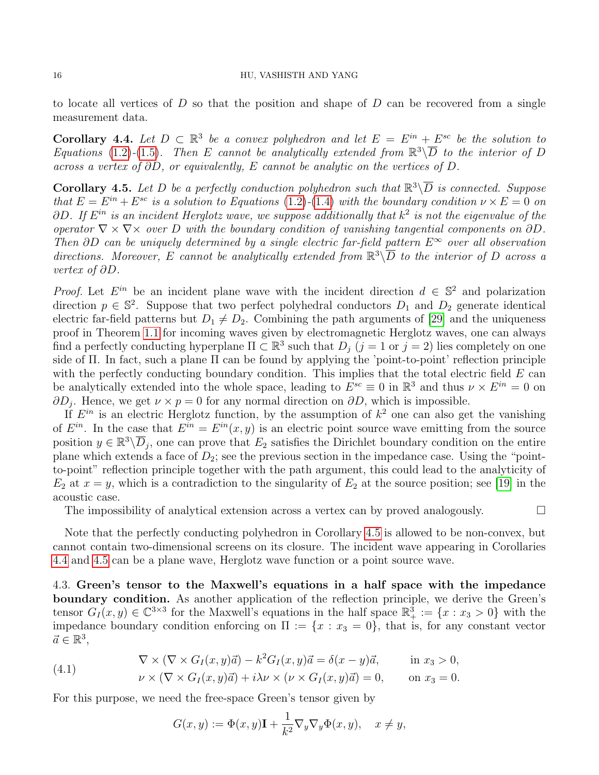### 16 HU, VASHISTH AND YANG

to locate all vertices of  $D$  so that the position and shape of  $D$  can be recovered from a single measurement data.

<span id="page-15-1"></span>**Corollary 4.4.** Let  $D \subset \mathbb{R}^3$  be a convex polyhedron and let  $E = E^{in} + E^{sc}$  be the solution to Equations [\(1.2\)](#page-0-1)-[\(1.5\)](#page-0-2). Then E cannot be analytically extended from  $\mathbb{R}^3\backslash\overline{D}$  to the interior of D across a vertex of ∂D, or equivalently, E cannot be analytic on the vertices of D.

<span id="page-15-0"></span>**Corollary 4.5.** Let D be a perfectly conduction polyhedron such that  $\mathbb{R}^3 \backslash \overline{D}$  is connected. Suppose that  $E = E^{in} + E^{sc}$  is a solution to Equations [\(1.2\)](#page-0-1)-[\(1.4\)](#page-0-3) with the boundary condition  $\nu \times E = 0$  on  $\partial D$ . If  $E^{in}$  is an incident Herglotz wave, we suppose additionally that  $k^2$  is not the eigenvalue of the operator  $\nabla \times \nabla \times$  over D with the boundary condition of vanishing tangential components on  $\partial D$ . Then  $\partial D$  can be uniquely determined by a single electric far-field pattern  $E^{\infty}$  over all observation directions. Moreover, E cannot be analytically extended from  $\mathbb{R}^3 \backslash \overline{D}$  to the interior of D across a vertex of ∂D.

*Proof.* Let  $E^{in}$  be an incident plane wave with the incident direction  $d \in \mathbb{S}^2$  and polarization direction  $p \in \mathbb{S}^2$ . Suppose that two perfect polyhedral conductors  $D_1$  and  $D_2$  generate identical electric far-field patterns but  $D_1 \neq D_2$ . Combining the path arguments of [\[29\]](#page-21-6) and the uniqueness proof in Theorem [1.1](#page-2-0) for incoming waves given by electromagnetic Herglotz waves, one can always find a perfectly conducting hyperplane  $\Pi \subset \mathbb{R}^3$  such that  $D_j$   $(j = 1 \text{ or } j = 2)$  lies completely on one side of Π. In fact, such a plane Π can be found by applying the 'point-to-point' reflection principle with the perfectly conducting boundary condition. This implies that the total electric field  $E$  can be analytically extended into the whole space, leading to  $E^{sc} \equiv 0$  in  $\mathbb{R}^3$  and thus  $\nu \times E^{in} = 0$  on  $\partial D_j$ . Hence, we get  $\nu \times p = 0$  for any normal direction on  $\partial D$ , which is impossible.

If  $E^{in}$  is an electric Herglotz function, by the assumption of  $k^2$  one can also get the vanishing of  $E^{in}$ . In the case that  $E^{in} = E^{in}(x, y)$  is an electric point source wave emitting from the source position  $y \in \mathbb{R}^3 \backslash \overline{D}_j$ , one can prove that  $E_2$  satisfies the Dirichlet boundary condition on the entire plane which extends a face of  $D_2$ ; see the previous section in the impedance case. Using the "pointto-point" reflection principle together with the path argument, this could lead to the analyticity of  $E_2$  at  $x = y$ , which is a contradiction to the singularity of  $E_2$  at the source position; see [\[19\]](#page-21-23) in the acoustic case.

The impossibility of analytical extension across a vertex can by proved analogously.  $\Box$ 

Note that the perfectly conducting polyhedron in Corollary [4.5](#page-15-0) is allowed to be non-convex, but cannot contain two-dimensional screens on its closure. The incident wave appearing in Corollaries [4.4](#page-15-1) and [4.5](#page-15-0) can be a plane wave, Herglotz wave function or a point source wave.

4.3. Green's tensor to the Maxwell's equations in a half space with the impedance boundary condition. As another application of the reflection principle, we derive the Green's tensor  $G_I(x,y) \in \mathbb{C}^{3\times 3}$  for the Maxwell's equations in the half space  $\mathbb{R}^3_+ := \{x : x_3 > 0\}$  with the impedance boundary condition enforcing on  $\Pi := \{x : x_3 = 0\}$ , that is, for any constant vector  $\vec{a} \in \mathbb{R}^3$ ,

(4.1) 
$$
\nabla \times (\nabla \times G_I(x, y)\vec{a}) - k^2 G_I(x, y)\vec{a} = \delta(x - y)\vec{a}, \qquad \text{in } x_3 > 0,
$$

$$
\nu \times (\nabla \times G_I(x, y)\vec{a}) + i\lambda \nu \times (\nu \times G_I(x, y)\vec{a}) = 0, \quad \text{on } x_3 = 0.
$$

For this purpose, we need the free-space Green's tensor given by

$$
G(x, y) := \Phi(x, y)\mathbf{I} + \frac{1}{k^2} \nabla_y \nabla_y \Phi(x, y), \quad x \neq y,
$$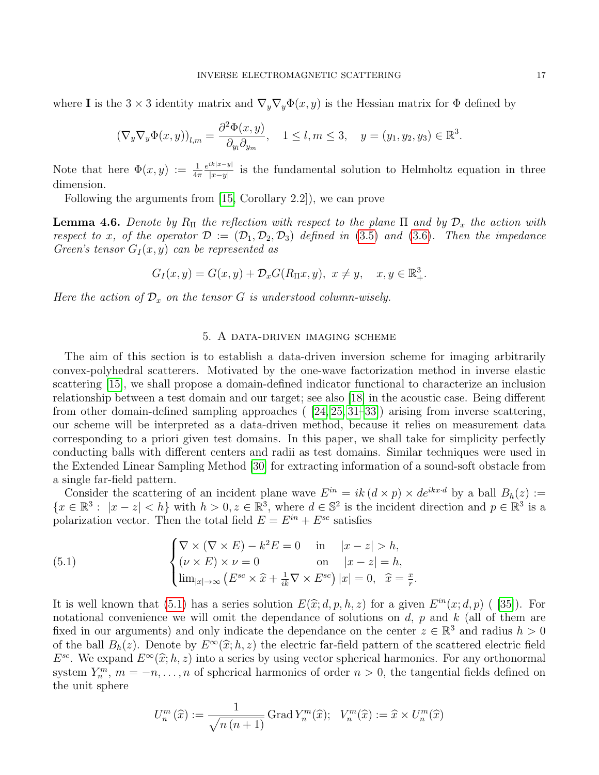where I is the 3 × 3 identity matrix and  $\nabla_y \nabla_y \Phi(x, y)$  is the Hessian matrix for  $\Phi$  defined by

$$
(\nabla_y \nabla_y \Phi(x, y))_{l,m} = \frac{\partial^2 \Phi(x, y)}{\partial_{y_l} \partial_{y_m}}, \quad 1 \le l, m \le 3, \quad y = (y_1, y_2, y_3) \in \mathbb{R}^3.
$$

Note that here  $\Phi(x, y) := \frac{1}{4\pi}$  $e^{ik|x-y|}$  $\frac{dx|x-y|}{|x-y|}$  is the fundamental solution to Helmholtz equation in three dimension.

Following the arguments from [\[15,](#page-21-10) Corollary 2.2]), we can prove

**Lemma 4.6.** Denote by R<sub>II</sub> the reflection with respect to the plane II and by  $\mathcal{D}_x$  the action with respect to x, of the operator  $\mathcal{D} := (\mathcal{D}_1, \mathcal{D}_2, \mathcal{D}_3)$  defined in [\(3.5\)](#page-5-3) and [\(3.6\)](#page-5-3). Then the impedance Green's tensor  $G_I(x, y)$  can be represented as

$$
G_I(x,y) = G(x,y) + \mathcal{D}_x G(R_\Pi x, y), \ x \neq y, \quad x, y \in \mathbb{R}^3_+.
$$

Here the action of  $\mathcal{D}_x$  on the tensor G is understood column-wisely.

## 5. A data-driven imaging scheme

<span id="page-16-0"></span>The aim of this section is to establish a data-driven inversion scheme for imaging arbitrarily convex-polyhedral scatterers. Motivated by the one-wave factorization method in inverse elastic scattering [\[15\]](#page-21-10), we shall propose a domain-defined indicator functional to characterize an inclusion relationship between a test domain and our target; see also [\[18\]](#page-21-12) in the acoustic case. Being different from other domain-defined sampling approaches ( [\[24,](#page-21-15) [25,](#page-21-16) [31–](#page-22-0)[33\]](#page-22-2)) arising from inverse scattering, our scheme will be interpreted as a data-driven method, because it relies on measurement data corresponding to a priori given test domains. In this paper, we shall take for simplicity perfectly conducting balls with different centers and radii as test domains. Similar techniques were used in the Extended Linear Sampling Method [\[30\]](#page-21-20) for extracting information of a sound-soft obstacle from a single far-field pattern.

Consider the scattering of an incident plane wave  $E^{in} = ik (d \times p) \times de^{ikx \cdot d}$  by a ball  $B_h(z) :=$  ${x \in \mathbb{R}^3 : |x - z| < h}$  with  $h > 0, z \in \mathbb{R}^3$ , where  $d \in \mathbb{S}^2$  is the incident direction and  $p \in \mathbb{R}^3$  is a polarization vector. Then the total field  $E = E^{in} + E^{sc}$  satisfies

<span id="page-16-1"></span>(5.1) 
$$
\begin{cases} \nabla \times (\nabla \times E) - k^2 E = 0 & \text{in} \quad |x - z| > h, \\ (\nu \times E) \times \nu = 0 & \text{on} \quad |x - z| = h, \\ \lim_{|x| \to \infty} (E^{sc} \times \hat{x} + \frac{1}{ik} \nabla \times E^{sc}) |x| = 0, \quad \hat{x} = \frac{x}{r}. \end{cases}
$$

It is well known that [\(5.1\)](#page-16-1) has a series solution  $E(\hat{x}; d, p, h, z)$  for a given  $E^{in}(x; d, p)$  ([\[35\]](#page-22-4)). For notational convenience we will omit the dependence of solutions on d, n and k (all of them are notational convenience we will omit the dependance of solutions on  $d$ ,  $p$  and  $k$  (all of them are fixed in our arguments) and only indicate the dependance on the center  $z \in \mathbb{R}^3$  and radius  $h > 0$ of the ball  $B_h(z)$ . Denote by  $E^{\infty}(\hat{x}; h, z)$  the electric far-field pattern of the scattered electric field<br> $F^{sc}$ . We expand  $F^{\infty}(\hat{x}; h, z)$  into a series by using vector spherical harmonics. For any orthonormal  $E^{sc}$ . We expand  $E^{\infty}(\hat{x}; h, z)$  into a series by using vector spherical harmonics. For any orthonormal<br>system  $V^{m}$ ,  $m = -n$ , as a spherical harmonics of order  $n > 0$ , the tangential fields defined on system  $Y_n^m$ ,  $m = -n, \ldots, n$  of spherical harmonics of order  $n > 0$ , the tangential fields defined on the unit sphere

$$
U^m_n\left(\widehat{x}\right):=\frac{1}{\sqrt{n\left(n+1\right)}}\operatorname{Grad} Y^m_n(\widehat{x});\ \ \, V^m_n(\widehat{x}):=\widehat{x}\times U^m_n(\widehat{x})
$$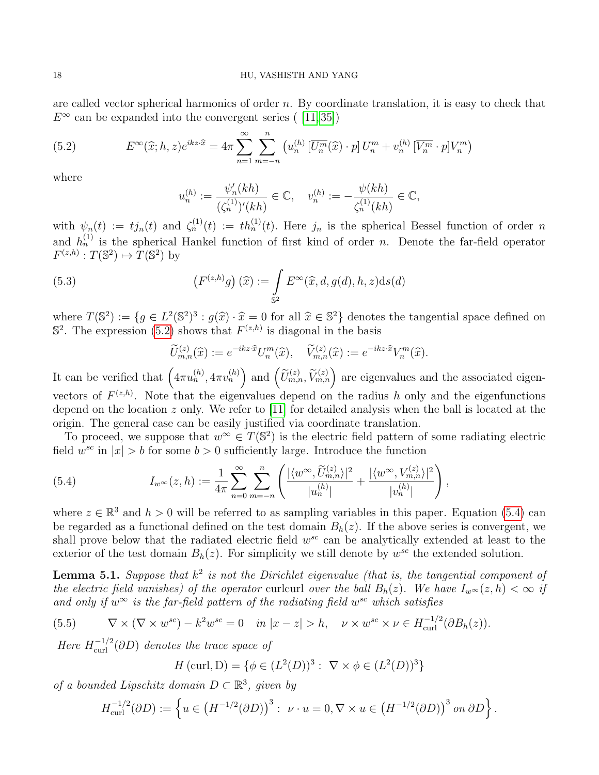are called vector spherical harmonics of order  $n$ . By coordinate translation, it is easy to check that  $E^{\infty}$  can be expanded into the convergent series ([\[11,](#page-21-24)35])

<span id="page-17-0"></span>(5.2) 
$$
E^{\infty}(\widehat{x};h,z)e^{ikz\cdot\widehat{x}} = 4\pi \sum_{n=1}^{\infty} \sum_{m=-n}^{n} \left(u_n^{(h)}\left[\overline{U_n^m}(\widehat{x}) \cdot p\right]U_n^m + v_n^{(h)}\left[\overline{V_n^m} \cdot p\right]V_n^m\right)
$$

where

$$
u_n^{(h)} := \frac{\psi_n'(kh)}{(\zeta_n^{(1)})'(kh)} \in \mathbb{C}, \quad v_n^{(h)} := -\frac{\psi(kh)}{\zeta_n^{(1)}(kh)} \in \mathbb{C},
$$

with  $\psi_n(t) := t j_n(t)$  and  $\zeta_n^{(1)}(t) := t h_n^{(1)}(t)$ . Here  $j_n$  is the spherical Bessel function of order n and  $h_n^{(1)}$  is the spherical Hankel function of first kind of order n. Denote the far-field operator  $F^{(z,h)}: T(\mathbb{S}^2) \mapsto \overline{T(\mathbb{S}^2)}$  by

(5.3) 
$$
\left(F^{(z,h)}g\right)(\widehat{x}):=\int\limits_{\mathbb{S}^2}E^{\infty}(\widehat{x},d,g(d),h,z)\mathrm{d}s(d)
$$

where  $T(\mathbb{S}^2) := \{g \in L^2(\mathbb{S}^2)^3 : g(\hat{x}) \cdot \hat{x} = 0 \text{ for all } \hat{x} \in \mathbb{S}^2\}$  denotes the tangential space defined on  $\mathbb{S}^2$ . The expression (5.2) shows that  $F^{(z,h)}$  is diagonal in the basis  $\mathbb{S}^2$ . The expression [\(5.2\)](#page-17-0) shows that  $F^{(z,h)}$  is diagonal in the basis

$$
\widetilde{U}_{m,n}^{(z)}(\widehat{x}) := e^{-ikz \cdot \widehat{x}} U_n^m(\widehat{x}), \quad \widetilde{V}_{m,n}^{(z)}(\widehat{x}) := e^{-ikz \cdot \widehat{x}} V_n^m(\widehat{x}).
$$

It can be verified that  $(4\pi u_n^{(h)}, 4\pi v_n^{(h)})$  and  $(\widetilde{U}_{m,n}^{(z)}, \widetilde{V}_{m,n}^{(z)})$  are eigenvalues and the associated eigenvectors of  $F^{(z,h)}$ . Note that the eigenvalues depend on the radius h only and the eigenfunctions depend on the location z only. We refer to [\[11\]](#page-21-24) for detailed analysis when the ball is located at the origin. The general case can be easily justified via coordinate translation.

To proceed, we suppose that  $w^{\infty} \in T(\mathbb{S}^2)$  is the electric field pattern of some radiating electric field  $w^{sc}$  in  $|x| > b$  for some  $b > 0$  sufficiently large. Introduce the function

<span id="page-17-1"></span>(5.4) 
$$
I_{w^{\infty}}(z,h) := \frac{1}{4\pi} \sum_{n=0}^{\infty} \sum_{m=-n}^{n} \left( \frac{|\langle w^{\infty}, \widetilde{U}_{m,n}^{(z)} \rangle|^{2}}{|u_{n}^{(h)}|} + \frac{|\langle w^{\infty}, V_{m,n}^{(z)} \rangle|^{2}}{|v_{n}^{(h)}|} \right),
$$

where  $z \in \mathbb{R}^3$  and  $h > 0$  will be referred to as sampling variables in this paper. Equation [\(5.4\)](#page-17-1) can be regarded as a functional defined on the test domain  $B<sub>h</sub>(z)$ . If the above series is convergent, we shall prove below that the radiated electric field  $w^{sc}$  can be analytically extended at least to the exterior of the test domain  $B_h(z)$ . For simplicity we still denote by  $w^{sc}$  the extended solution.

<span id="page-17-2"></span>**Lemma 5.1.** Suppose that  $k^2$  is not the Dirichlet eigenvalue (that is, the tangential component of the electric field vanishes) of the operator curlcurl over the ball  $B_h(z)$ . We have  $I_{w^\infty}(z, h) < \infty$  if and only if  $w^{\infty}$  is the far-field pattern of the radiating field  $w^{sc}$  which satisfies

(5.5) 
$$
\nabla \times (\nabla \times w^{sc}) - k^2 w^{sc} = 0 \quad in \ |x - z| > h, \quad \nu \times w^{sc} \times \nu \in H^{-1/2}_{\text{curl}}(\partial B_h(z)).
$$

Here  $H^{-1/2}_{\text{curl}}(\partial D)$  denotes the trace space of

<span id="page-17-3"></span>
$$
H(\text{curl}, \mathcal{D}) = \{ \phi \in (L^{2}(D))^{3} : \nabla \times \phi \in (L^{2}(D))^{3} \}
$$

of a bounded Lipschitz domain  $D \subset \mathbb{R}^3$ , given by

$$
H_{\text{curl}}^{-1/2}(\partial D) := \left\{ u \in \left( H^{-1/2}(\partial D) \right)^3 : \ \nu \cdot u = 0, \nabla \times u \in \left( H^{-1/2}(\partial D) \right)^3 \text{ on } \partial D \right\}.
$$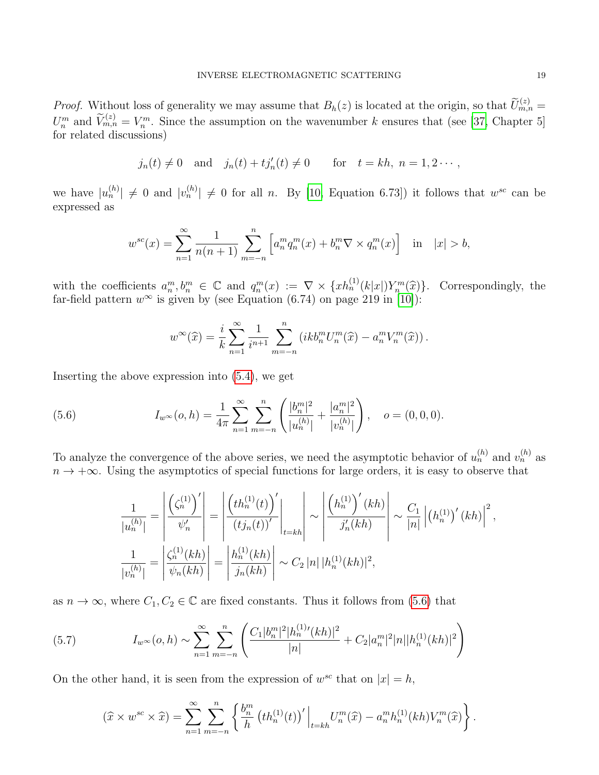*Proof.* Without loss of generality we may assume that  $B_h(z)$  is located at the origin, so that  $\widetilde{U}_{m,n}^{(z)} =$  $U_n^m$  and  $\widetilde{V}_{m,n}^{(z)} = V_n^m$ . Since the assumption on the wavenumber k ensures that (see [\[37,](#page-22-5) Chapter 5] for related discussions)

$$
j_n(t) \neq 0
$$
 and  $j_n(t) + t j'_n(t) \neq 0$  for  $t = kh$ ,  $n = 1, 2 \cdots$ ,

we have  $|u_n^{(h)}| \neq 0$  and  $|v_n^{(h)}| \neq 0$  for all n. By [\[10,](#page-21-0) Equation 6.73]) it follows that  $w^{sc}$  can be expressed as

$$
w^{sc}(x) = \sum_{n=1}^{\infty} \frac{1}{n(n+1)} \sum_{m=-n}^{n} \left[ a_n^m q_n^m(x) + b_n^m \nabla \times q_n^m(x) \right] \text{ in } |x| > b,
$$

with the coefficients  $a_n^m, b_n^m \in \mathbb{C}$  and  $q_n^m(x) := \nabla \times \{x h_n^{(1)}(k|x|) Y_n^m(\hat{x})\}$ . Correspondingly, the far-field pattern  $w^{\infty}$  is given by (see Equation (6.74) on page 219 in [\[10\]](#page-21-0)):

$$
w^{\infty}(\widehat{x}) = \frac{i}{k} \sum_{n=1}^{\infty} \frac{1}{i^{n+1}} \sum_{m=-n}^{n} \left( ikb_n^m U_n^m(\widehat{x}) - a_n^m V_n^m(\widehat{x}) \right).
$$

Inserting the above expression into [\(5.4\)](#page-17-1), we get

<span id="page-18-0"></span>(5.6) 
$$
I_{w^{\infty}}(o,h) = \frac{1}{4\pi} \sum_{n=1}^{\infty} \sum_{m=-n}^{n} \left( \frac{|b_{n}^{m}|^{2}}{|u_{n}^{(h)}|} + \frac{|a_{n}^{m}|^{2}}{|v_{n}^{(h)}|} \right), \quad o = (0,0,0).
$$

To analyze the convergence of the above series, we need the asymptotic behavior of  $u_n^{(h)}$  and  $v_n^{(h)}$  as  $n \to +\infty$ . Using the asymptotics of special functions for large orders, it is easy to observe that

$$
\frac{1}{|u_n^{(h)}|} = \left| \frac{\left(\zeta_n^{(1)}\right)'}{\psi_n'} \right| = \left| \frac{\left(th_n^{(1)}(t)\right)'}{\left(tj_n(t)\right)'} \right|_{t=kh} \sim \left| \frac{\left(h_n^{(1)}\right)'(kh)}{j_n'(kh)} \right| \sim \frac{C_1}{|n|} \left| \left(h_n^{(1)}\right)'(kh) \right|^2,
$$
\n
$$
\frac{1}{|v_n^{(h)}|} = \left| \frac{\zeta_n^{(1)}(kh)}{\psi_n(kh)} \right| = \left| \frac{h_n^{(1)}(kh)}{j_n(kh)} \right| \sim C_2 |n| |h_n^{(1)}(kh)|^2,
$$

as  $n \to \infty$ , where  $C_1, C_2 \in \mathbb{C}$  are fixed constants. Thus it follows from [\(5.6\)](#page-18-0) that

<span id="page-18-1"></span>(5.7) 
$$
I_{w^{\infty}}(o,h) \sim \sum_{n=1}^{\infty} \sum_{m=-n}^{n} \left( \frac{C_1 |b_n^m|^2 |h_n^{(1)}(kh)|^2}{|n|} + C_2 |a_n^m|^2 |n| |h_n^{(1)}(kh)|^2 \right)
$$

On the other hand, it is seen from the expression of  $w^{sc}$  that on  $|x|=h$ ,

$$
(\widehat{x} \times w^{sc} \times \widehat{x}) = \sum_{n=1}^{\infty} \sum_{m=-n}^{n} \left\{ \frac{b_n^m}{h} \left( th_n^{(1)}(t) \right)' \Big|_{t=kh} U_n^m(\widehat{x}) - a_n^m h_n^{(1)}(kh) V_n^m(\widehat{x}) \right\}.
$$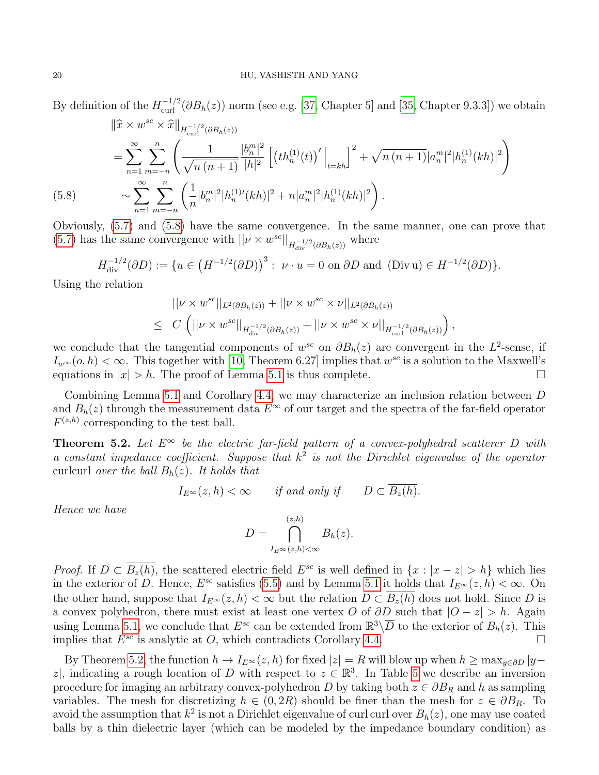By definition of the  $H^{-1/2}_{\text{curl}}(\partial B_h(z))$  norm (see e.g. [\[37,](#page-22-5) Chapter 5] and [\[35,](#page-22-4) Chapter 9.3.3]) we obtain

$$
\|\hat{x} \times w^{sc} \times \hat{x}\|_{H_{\text{curl}}^{-1/2}(\partial B_h(z))}
$$
\n
$$
= \sum_{n=1}^{\infty} \sum_{m=-n}^{n} \left( \frac{1}{\sqrt{n(n+1)}} \frac{|b_n^m|^2}{|h|^2} \left[ \left( th_n^{(1)}(t) \right)' \Big|_{t=kh} \right]^2 + \sqrt{n(n+1)} |a_n^m|^2 |h_n^{(1)}(kh)|^2 \right)
$$
\n(5.8)\n
$$
\sim \sum_{n=1}^{\infty} \sum_{m=-n}^{n} \left( \frac{1}{n} |b_n^m|^2 |h_n^{(1)}(kh)|^2 + n|a_n^m|^2 |h_n^{(1)}(kh)|^2 \right).
$$

<span id="page-19-1"></span>Obviously, [\(5.7\)](#page-18-1) and [\(5.8\)](#page-19-1) have the same convergence. In the same manner, one can prove that [\(5.7\)](#page-18-1) has the same convergence with  $||\nu \times w^{sc}||_{H^{-1/2}_{div}(\partial B_h(z))}$  where

$$
H_{\text{div}}^{-1/2}(\partial D) := \{ u \in \left( H^{-1/2}(\partial D) \right)^3 : \ \nu \cdot u = 0 \text{ on } \partial D \text{ and } (Div \, u) \in H^{-1/2}(\partial D) \}.
$$

Using the relation

$$
||\nu \times w^{sc}||_{L^2(\partial B_h(z))} + ||\nu \times w^{sc} \times \nu||_{L^2(\partial B_h(z))}
$$
  
\n
$$
\leq C \left( ||\nu \times w^{sc}||_{H_{\text{div}}^{-1/2}(\partial B_h(z))} + ||\nu \times w^{sc} \times \nu||_{H_{\text{curl}}^{-1/2}(\partial B_h(z))} \right)
$$

,

we conclude that the tangential components of  $w^{sc}$  on  $\partial B_h(z)$  are convergent in the  $L^2$ -sense, if  $I_{w^{\infty}}(o, h) < \infty$ . This together with [\[10,](#page-21-0) Theorem 6.27] implies that  $w^{sc}$  is a solution to the Maxwell's equations in  $|x| > h$ . The proof of Lemma [5.1](#page-17-2) is thus complete.

Combining Lemma [5.1](#page-17-2) and Corollary [4.4,](#page-15-1) we may characterize an inclusion relation between D and  $B_h(z)$  through the measurement data  $E^{\infty}$  of our target and the spectra of the far-field operator  $F^{(z,h)}$  corresponding to the test ball.

<span id="page-19-0"></span>**Theorem 5.2.** Let  $E^{\infty}$  be the electric far-field pattern of a convex-polyhedral scatterer D with a constant impedance coefficient. Suppose that  $k^2$  is not the Dirichlet eigenvalue of the operator curlcurl over the ball  $B_h(z)$ . It holds that

 $I_{E^{\infty}}(z, h) < \infty$  if and only if  $D \subset \overline{B_z(h)}$ .

Hence we have

$$
D = \bigcap_{I_E \infty}^{(z,h)} B_h(z).
$$

*Proof.* If  $D \subset \overline{B_z(h)}$ , the scattered electric field  $E^{sc}$  is well defined in  $\{x : |x-z| > h\}$  which lies in the exterior of D. Hence,  $E^{sc}$  satisfies [\(5.5\)](#page-17-3) and by Lemma [5.1](#page-17-2) it holds that  $I_{E^{\infty}}(z, h) < \infty$ . On the other hand, suppose that  $I_{E^\infty}(z, h) < \infty$  but the relation  $D \subset \overline{B_z(h)}$  does not hold. Since D is a convex polyhedron, there must exist at least one vertex O of  $\partial D$  such that  $|O - z| > h$ . Again using Lemma [5.1,](#page-17-2) we conclude that  $E^{sc}$  can be extended from  $\mathbb{R}^3\backslash\overline{D}$  to the exterior of  $B_h(z)$ . This implies that  $E^{sc}$  is analytic at O, which contradicts Corollary [4.4.](#page-15-1)

By Theorem [5.2,](#page-19-0) the function  $h \to I_{E^\infty}(z, h)$  for fixed  $|z| = R$  will blow up when  $h \ge \max_{y \in \partial D} |y - y|$ z, indicating a rough location of D with respect to  $z \in \mathbb{R}^3$ . In Table [5](#page-19-0) we describe an inversion procedure for imaging an arbitrary convex-polyhedron D by taking both  $z \in \partial B_R$  and h as sampling variables. The mesh for discretizing  $h \in (0, 2R)$  should be finer than the mesh for  $z \in \partial B_R$ . To avoid the assumption that  $k^2$  is not a Dirichlet eigenvalue of curl curl over  $B_h(z)$ , one may use coated balls by a thin dielectric layer (which can be modeled by the impedance boundary condition) as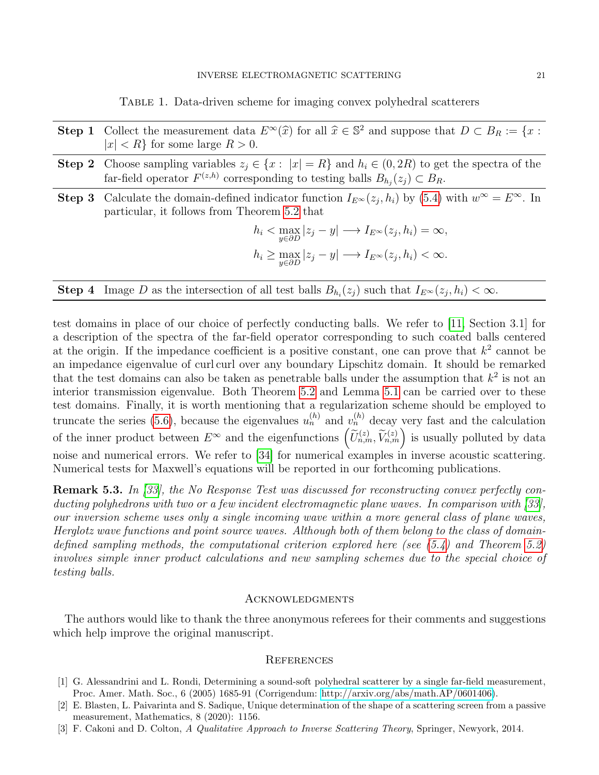Table 1. Data-driven scheme for imaging convex polyhedral scatterers

- Step 1 Collect the measurement data  $E^{\infty}(\hat{x})$  for all  $\hat{x} \in \mathbb{S}^2$  and suppose that  $D \subset B_R := \{x : |x| \leq R\}$  for some large  $R > 0$  $|x| < R$  for some large  $R > 0$ .
- **Step 2** Choose sampling variables  $z_j \in \{x : |x| = R\}$  and  $\overline{h_i \in (0, 2R)}$  to get the spectra of the far-field operator  $F^{(z,h)}$  corresponding to testing balls  $B_{h_j}(z_j) \subset B_R$ .
- Step 3 Calculate the domain-defined indicator function  $I_{E^{\infty}}(z_j, h_i)$  by [\(5.4\)](#page-17-1) with  $w^{\infty} = E^{\infty}$ . In particular, it follows from Theorem [5.2](#page-19-0) that

$$
h_i < \max_{y \in \partial D} |z_j - y| \longrightarrow I_{E^{\infty}}(z_j, h_i) = \infty,
$$
\n
$$
h_i \geq \max_{y \in \partial D} |z_j - y| \longrightarrow I_{E^{\infty}}(z_j, h_i) < \infty.
$$

**Step 4** Image D as the intersection of all test balls  $B_{h_i}(z_j)$  such that  $I_{E^{\infty}}(z_j, h_i) < \infty$ .

test domains in place of our choice of perfectly conducting balls. We refer to [\[11,](#page-21-24) Section 3.1] for a description of the spectra of the far-field operator corresponding to such coated balls centered at the origin. If the impedance coefficient is a positive constant, one can prove that  $k^2$  cannot be an impedance eigenvalue of curl curl over any boundary Lipschitz domain. It should be remarked that the test domains can also be taken as penetrable balls under the assumption that  $k^2$  is not an interior transmission eigenvalue. Both Theorem [5.2](#page-19-0) and Lemma [5.1](#page-17-2) can be carried over to these test domains. Finally, it is worth mentioning that a regularization scheme should be employed to truncate the series [\(5.6\)](#page-18-0), because the eigenvalues  $u_n^{(h)}$  and  $v_n^{(h)}$  decay very fast and the calculation of the inner product between  $E^{\infty}$  and the eigenfunctions  $(\widetilde{U}_{n,m}^{(z)}, \widetilde{V}_{n,m}^{(z)})$  is usually polluted by data noise and numerical errors. We refer to [\[34\]](#page-22-6) for numerical examples in inverse acoustic scattering. Numerical tests for Maxwell's equations will be reported in our forthcoming publications.

Remark 5.3. In [\[33\]](#page-22-2), the No Response Test was discussed for reconstructing convex perfectly conducting polyhedrons with two or a few incident electromagnetic plane waves. In comparison with [\[33\]](#page-22-2), our inversion scheme uses only a single incoming wave within a more general class of plane waves, Herglotz wave functions and point source waves. Although both of them belong to the class of domaindefined sampling methods, the computational criterion explored here (see  $(5.4)$  and Theorem [5.2\)](#page-19-0) involves simple inner product calculations and new sampling schemes due to the special choice of testing balls.

#### Acknowledgments

The authors would like to thank the three anonymous referees for their comments and suggestions which help improve the original manuscript.

#### **REFERENCES**

- <span id="page-20-0"></span>[1] G. Alessandrini and L. Rondi, Determining a sound-soft polyhedral scatterer by a single far-field measurement, Proc. Amer. Math. Soc., 6 (2005) 1685-91 (Corrigendum: [http://arxiv.org/abs/math.AP/0601406\)](http://arxiv.org/abs/math.AP/0601406).
- <span id="page-20-1"></span>[2] E. Blasten, L. Paivarinta and S. Sadique, Unique determination of the shape of a scattering screen from a passive measurement, Mathematics, 8 (2020): 1156.
- <span id="page-20-2"></span>[3] F. Cakoni and D. Colton, A Qualitative Approach to Inverse Scattering Theory, Springer, Newyork, 2014.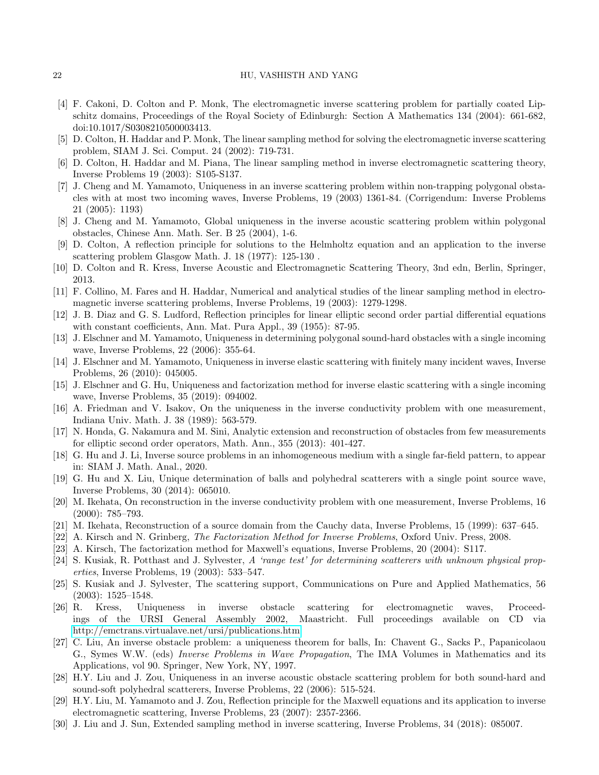#### 22 HU, VASHISTH AND YANG

- <span id="page-21-1"></span>[4] F. Cakoni, D. Colton and P. Monk, The electromagnetic inverse scattering problem for partially coated Lipschitz domains, Proceedings of the Royal Society of Edinburgh: Section A Mathematics 134 (2004): 661-682, doi:10.1017/S0308210500003413.
- [5] D. Colton, H. Haddar and P. Monk, The linear sampling method for solving the electromagnetic inverse scattering problem, SIAM J. Sci. Comput. 24 (2002): 719-731.
- <span id="page-21-2"></span>[6] D. Colton, H. Haddar and M. Piana, The linear sampling method in inverse electromagnetic scattering theory, Inverse Problems 19 (2003): S105-S137.
- <span id="page-21-3"></span>[7] J. Cheng and M. Yamamoto, Uniqueness in an inverse scattering problem within non-trapping polygonal obstacles with at most two incoming waves, Inverse Problems, 19 (2003) 1361-84. (Corrigendum: Inverse Problems 21 (2005): 1193)
- <span id="page-21-7"></span>[8] J. Cheng and M. Yamamoto, Global uniqueness in the inverse acoustic scattering problem within polygonal obstacles, Chinese Ann. Math. Ser. B 25 (2004), 1-6.
- <span id="page-21-8"></span>[9] D. Colton, A reflection principle for solutions to the Helmholtz equation and an application to the inverse scattering problem Glasgow Math. J. 18 (1977): 125-130 .
- <span id="page-21-0"></span>[10] D. Colton and R. Kress, Inverse Acoustic and Electromagnetic Scattering Theory, 3nd edn, Berlin, Springer, 2013.
- <span id="page-21-24"></span>[11] F. Collino, M. Fares and H. Haddar, Numerical and analytical studies of the linear sampling method in electromagnetic inverse scattering problems, Inverse Problems, 19 (2003): 1279-1298.
- <span id="page-21-21"></span>[12] J. B. Diaz and G. S. Ludford, Reflection principles for linear elliptic second order partial differential equations with constant coefficients, Ann. Mat. Pura Appl., 39 (1955): 87-95.
- <span id="page-21-9"></span>[13] J. Elschner and M. Yamamoto, Uniqueness in determining polygonal sound-hard obstacles with a single incoming wave, Inverse Problems, 22 (2006): 355-64.
- [14] J. Elschner and M. Yamamoto, Uniqueness in inverse elastic scattering with finitely many incident waves, Inverse Problems, 26 (2010): 045005.
- <span id="page-21-10"></span>[15] J. Elschner and G. Hu, Uniqueness and factorization method for inverse elastic scattering with a single incoming wave, Inverse Problems, 35 (2019): 094002.
- <span id="page-21-22"></span>[16] A. Friedman and V. Isakov, On the uniqueness in the inverse conductivity problem with one measurement, Indiana Univ. Math. J. 38 (1989): 563-579.
- <span id="page-21-19"></span>[17] N. Honda, G. Nakamura and M. Sini, Analytic extension and reconstruction of obstacles from few measurements for elliptic second order operators, Math. Ann., 355 (2013): 401-427.
- <span id="page-21-12"></span>[18] G. Hu and J. Li, Inverse source problems in an inhomogeneous medium with a single far-field pattern, to appear in: SIAM J. Math. Anal., 2020.
- <span id="page-21-23"></span>[19] G. Hu and X. Liu, Unique determination of balls and polyhedral scatterers with a single point source wave, Inverse Problems, 30 (2014): 065010.
- <span id="page-21-17"></span>[20] M. Ikehata, On reconstruction in the inverse conductivity problem with one measurement, Inverse Problems, 16 (2000): 785–793.
- <span id="page-21-18"></span>[21] M. Ikehata, Reconstruction of a source domain from the Cauchy data, Inverse Problems, 15 (1999): 637–645.
- <span id="page-21-13"></span>[22] A. Kirsch and N. Grinberg, The Factorization Method for Inverse Problems, Oxford Univ. Press, 2008.
- <span id="page-21-14"></span>[23] A. Kirsch, The factorization method for Maxwell's equations, Inverse Problems, 20 (2004): S117.
- <span id="page-21-15"></span>[24] S. Kusiak, R. Potthast and J. Sylvester, A 'range test' for determining scatterers with unknown physical properties, Inverse Problems, 19 (2003): 533–547.
- <span id="page-21-16"></span>[25] S. Kusiak and J. Sylvester, The scattering support, Communications on Pure and Applied Mathematics, 56 (2003): 1525–1548.
- <span id="page-21-5"></span>[26] R. Kress, Uniqueness in inverse obstacle scattering for electromagnetic waves, Proceedings of the URSI General Assembly 2002, Maastricht. Full proceedings available on CD via <http://emctrans.virtualave.net/ursi/publications.htm>
- <span id="page-21-4"></span>[27] C. Liu, An inverse obstacle problem: a uniqueness theorem for balls, In: Chavent G., Sacks P., Papanicolaou G., Symes W.W. (eds) Inverse Problems in Wave Propagation, The IMA Volumes in Mathematics and its Applications, vol 90. Springer, New York, NY, 1997.
- <span id="page-21-11"></span>[28] H.Y. Liu and J. Zou, Uniqueness in an inverse acoustic obstacle scattering problem for both sound-hard and sound-soft polyhedral scatterers, Inverse Problems, 22 (2006): 515-524.
- <span id="page-21-6"></span>[29] H.Y. Liu, M. Yamamoto and J. Zou, Reflection principle for the Maxwell equations and its application to inverse electromagnetic scattering, Inverse Problems, 23 (2007): 2357-2366.
- <span id="page-21-20"></span>[30] J. Liu and J. Sun, Extended sampling method in inverse scattering, Inverse Problems, 34 (2018): 085007.